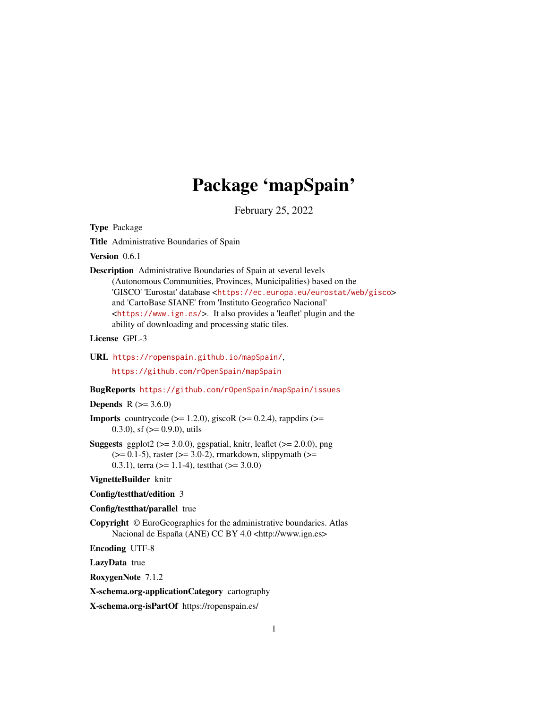# Package 'mapSpain'

February 25, 2022

<span id="page-0-0"></span>Type Package

Title Administrative Boundaries of Spain

Version 0.6.1

Description Administrative Boundaries of Spain at several levels (Autonomous Communities, Provinces, Municipalities) based on the 'GISCO' 'Eurostat' database <<https://ec.europa.eu/eurostat/web/gisco>> and 'CartoBase SIANE' from 'Instituto Geografico Nacional' <<https://www.ign.es/>>. It also provides a 'leaflet' plugin and the ability of downloading and processing static tiles.

License GPL-3

URL <https://ropenspain.github.io/mapSpain/>,

<https://github.com/rOpenSpain/mapSpain>

# BugReports <https://github.com/rOpenSpain/mapSpain/issues>

# **Depends** R  $(>= 3.6.0)$

**Imports** countrycode ( $>= 1.2.0$ ), giscoR ( $>= 0.2.4$ ), rappdirs ( $>=$ 0.3.0), sf  $(>= 0.9.0)$ , utils

**Suggests** ggplot2 ( $>= 3.0.0$ ), ggspatial, knitr, leaflet ( $>= 2.0.0$ ), png  $(>= 0.1-5)$ , raster  $(>= 3.0-2)$ , rmarkdown, slippymath  $(>= 1.1-5)$ 0.3.1), terra ( $>= 1.1-4$ ), testthat ( $>= 3.0.0$ )

VignetteBuilder knitr

#### Config/testthat/edition 3

#### Config/testthat/parallel true

Copyright © EuroGeographics for the administrative boundaries. Atlas Nacional de España (ANE) CC BY 4.0 <http://www.ign.es>

Encoding UTF-8

LazyData true

RoxygenNote 7.1.2

X-schema.org-applicationCategory cartography

X-schema.org-isPartOf https://ropenspain.es/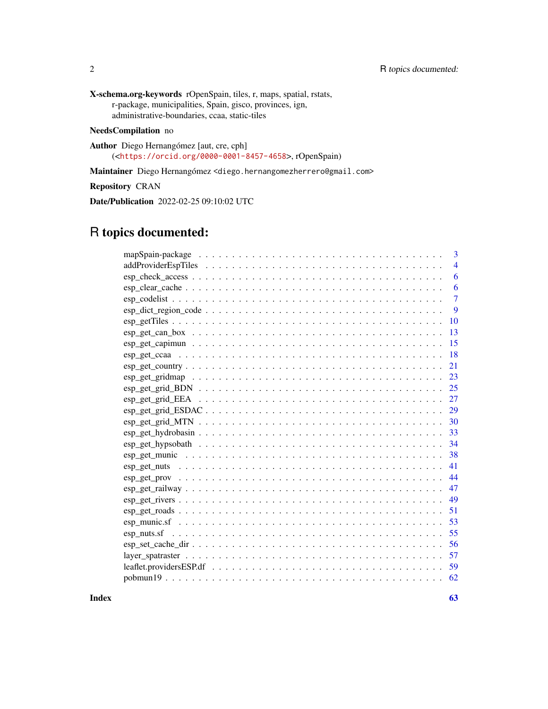X-schema.org-keywords rOpenSpain, tiles, r, maps, spatial, rstats, r-package, municipalities, Spain, gisco, provinces, ign, administrative-boundaries, ccaa, static-tiles

# NeedsCompilation no

Author Diego Hernangómez [aut, cre, cph] (<<https://orcid.org/0000-0001-8457-4658>>, rOpenSpain)

Maintainer Diego Hernangómez <diego.hernangomezherrero@gmail.com>

Repository CRAN

Date/Publication 2022-02-25 09:10:02 UTC

# R topics documented:

|                                                                                                                           | 3              |
|---------------------------------------------------------------------------------------------------------------------------|----------------|
|                                                                                                                           | $\overline{4}$ |
|                                                                                                                           | 6              |
|                                                                                                                           | 6              |
|                                                                                                                           | 7              |
| $\text{esp\_dict\_region\_code} \dots \dots \dots \dots \dots \dots \dots \dots \dots \dots \dots \dots \dots \dots$      | 9              |
|                                                                                                                           | 10             |
|                                                                                                                           | 13             |
|                                                                                                                           | 15             |
|                                                                                                                           | 18             |
|                                                                                                                           | 21             |
|                                                                                                                           | 23             |
|                                                                                                                           | 25             |
|                                                                                                                           | 27             |
|                                                                                                                           | 29             |
|                                                                                                                           | 30             |
|                                                                                                                           | 33             |
|                                                                                                                           | 34             |
|                                                                                                                           | 38             |
|                                                                                                                           | 41             |
|                                                                                                                           | 44             |
|                                                                                                                           | 47             |
|                                                                                                                           | 49             |
| $\mathsf{esp\_get\_roads\ } \dots \dots \dots \dots \dots \dots \dots \dots \dots \dots \dots \dots \dots \dots \dots$    | 51             |
|                                                                                                                           | 53             |
| $esp_nuts.sf \dots \dots \dots \dots \dots \dots \dots \dots \dots \dots \dots \dots \dots \dots \dots \dots \dots \dots$ | 55             |
|                                                                                                                           | 56             |
|                                                                                                                           | 57             |
| leaflet.providersESP.df $\ldots \ldots \ldots \ldots \ldots \ldots \ldots \ldots \ldots \ldots \ldots \ldots \ldots$      | 59             |
|                                                                                                                           | 62             |
|                                                                                                                           |                |

 $\blacksquare$  Index  $\blacksquare$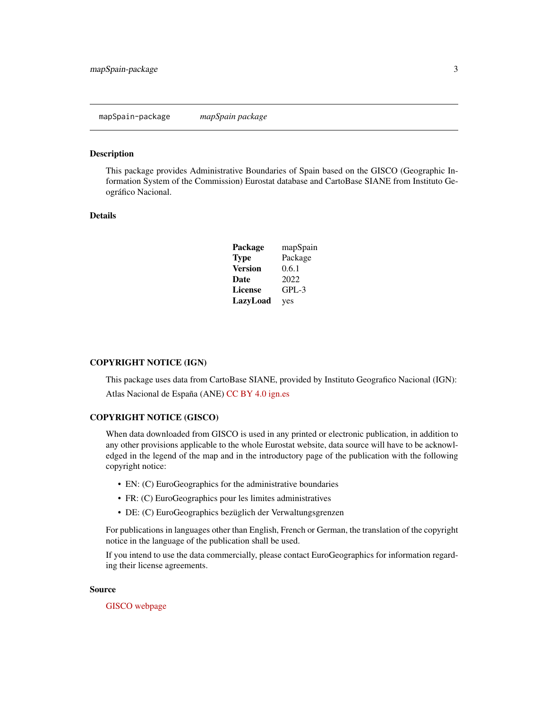#### <span id="page-2-0"></span>Description

This package provides Administrative Boundaries of Spain based on the GISCO (Geographic Information System of the Commission) Eurostat database and CartoBase SIANE from Instituto Geográfico Nacional.

#### Details

| Package        | mapSpain |
|----------------|----------|
| <b>Type</b>    | Package  |
| <b>Version</b> | 0.6.1    |
| Date           | 2022     |
| <b>License</b> | $GPL-3$  |
| LazyLoad       | yes      |

#### COPYRIGHT NOTICE (IGN)

This package uses data from CartoBase SIANE, provided by Instituto Geografico Nacional (IGN): Atlas Nacional de España (ANE) [CC BY 4.0](https://creativecommons.org/licenses/by/4.0/deed.en) [ign.es](https://www.ign.es/)

#### COPYRIGHT NOTICE (GISCO)

When data downloaded from GISCO is used in any printed or electronic publication, in addition to any other provisions applicable to the whole Eurostat website, data source will have to be acknowledged in the legend of the map and in the introductory page of the publication with the following copyright notice:

- EN: (C) EuroGeographics for the administrative boundaries
- FR: (C) EuroGeographics pour les limites administratives
- DE: (C) EuroGeographics bezüglich der Verwaltungsgrenzen

For publications in languages other than English, French or German, the translation of the copyright notice in the language of the publication shall be used.

If you intend to use the data commercially, please contact EuroGeographics for information regarding their license agreements.

#### Source

# [GISCO webpage](https://ec.europa.eu/eurostat/web/gisco/geodata)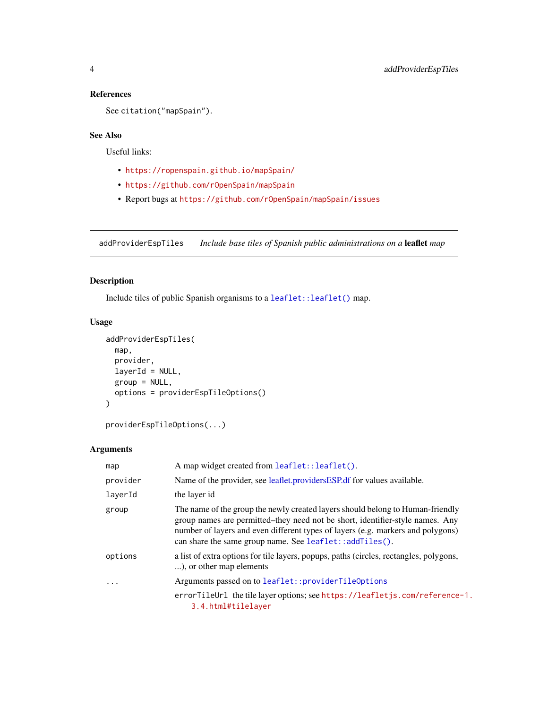# References

```
See citation("mapSpain").
```
# See Also

Useful links:

- <https://ropenspain.github.io/mapSpain/>
- <https://github.com/rOpenSpain/mapSpain>
- Report bugs at <https://github.com/rOpenSpain/mapSpain/issues>

<span id="page-3-2"></span>addProviderEspTiles *Include base tiles of Spanish public administrations on a* leaflet *map*

# <span id="page-3-1"></span>Description

Include tiles of public Spanish organisms to a [leaflet::leaflet\(\)](#page-0-0) map.

# Usage

```
addProviderEspTiles(
  map,
 provider,
  layerId = NULL,group = NULL,
 options = providerEspTileOptions()
)
```

```
providerEspTileOptions(...)
```
# Arguments

| map                     | A map widget created from leaflet::leaflet().                                                                                                                                                                                                                                                                 |
|-------------------------|---------------------------------------------------------------------------------------------------------------------------------------------------------------------------------------------------------------------------------------------------------------------------------------------------------------|
| provider                | Name of the provider, see leaflet.providersESP.df for values available.                                                                                                                                                                                                                                       |
| layerId                 | the layer id                                                                                                                                                                                                                                                                                                  |
| group                   | The name of the group the newly created layers should belong to Human-friendly<br>group names are permitted–they need not be short, identifier-style names. Any<br>number of layers and even different types of layers (e.g. markers and polygons)<br>can share the same group name. See leaflet::addTiles(). |
| options                 | a list of extra options for tile layers, popups, paths (circles, rectangles, polygons,<br>), or other map elements                                                                                                                                                                                            |
| $\cdot$ $\cdot$ $\cdot$ | Arguments passed on to leaflet::providerTileOptions                                                                                                                                                                                                                                                           |
|                         | errorTileUrl the tile layer options; see https://leafletjs.com/reference-1.<br>3.4.html#tilelayer                                                                                                                                                                                                             |

<span id="page-3-0"></span>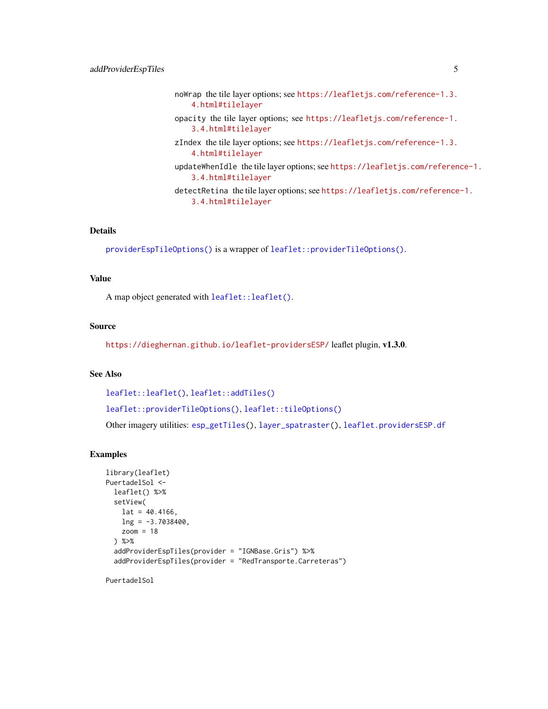<span id="page-4-0"></span>noWrap the tile layer options; see [https://leafletjs.com/reference-1.3.](https://leafletjs.com/reference-1.3.4.html#tilelayer) [4.html#tilelayer](https://leafletjs.com/reference-1.3.4.html#tilelayer) opacity the tile layer options; see [https://leafletjs.com/reference-1.](https://leafletjs.com/reference-1.3.4.html#tilelayer) [3.4.html#tilelayer](https://leafletjs.com/reference-1.3.4.html#tilelayer) zIndex the tile layer options; see [https://leafletjs.com/reference-1.3.](https://leafletjs.com/reference-1.3.4.html#tilelayer) [4.html#tilelayer](https://leafletjs.com/reference-1.3.4.html#tilelayer) updateWhenIdle the tile layer options; see [https://leafletjs.com/referen](https://leafletjs.com/reference-1.3.4.html#tilelayer)ce-1. [3.4.html#tilelayer](https://leafletjs.com/reference-1.3.4.html#tilelayer) detectRetina the tile layer options; see [https://leafletjs.com/reference](https://leafletjs.com/reference-1.3.4.html#tilelayer)-1. [3.4.html#tilelayer](https://leafletjs.com/reference-1.3.4.html#tilelayer)

# Details

[providerEspTileOptions\(\)](#page-3-1) is a wrapper of [leaflet::providerTileOptions\(\)](#page-0-0).

#### Value

A map object generated with [leaflet::leaflet\(\)](#page-0-0).

#### Source

<https://dieghernan.github.io/leaflet-providersESP/> leaflet plugin, v1.3.0.

#### See Also

```
leaflet::leaflet(), leaflet::addTiles()
```
[leaflet::providerTileOptions\(\)](#page-0-0), [leaflet::tileOptions\(\)](#page-0-0)

Other imagery utilities: [esp\\_getTiles\(](#page-9-1)), [layer\\_spatraster\(](#page-56-1)), [leaflet.providersESP.df](#page-58-1)

#### Examples

```
library(leaflet)
PuertadelSol <-
 leaflet() %>%
  setView(
   lat = 40.4166,ln g = -3.7038400,zoom = 18) %>%
  addProviderEspTiles(provider = "IGNBase.Gris") %>%
  addProviderEspTiles(provider = "RedTransporte.Carreteras")
```
PuertadelSol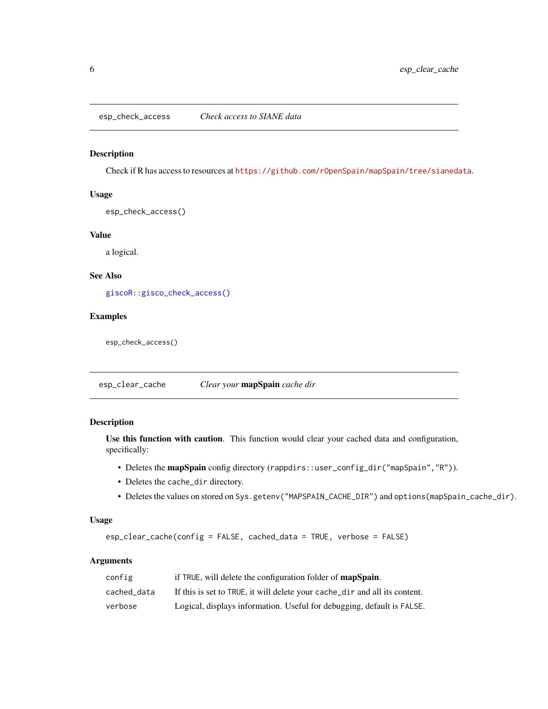<span id="page-5-0"></span>esp\_check\_access *Check access to SIANE data*

# Description

Check if R has access to resources at <https://github.com/rOpenSpain/mapSpain/tree/sianedata>.

#### Usage

esp\_check\_access()

# Value

a logical.

# See Also

[giscoR::gisco\\_check\\_access\(\)](#page-0-0)

# Examples

esp\_check\_access()

<span id="page-5-1"></span>esp\_clear\_cache *Clear your* mapSpain *cache dir*

# Description

Use this function with caution. This function would clear your cached data and configuration, specifically:

- Deletes the mapSpain config directory (rappdirs::user\_config\_dir("mapSpain","R")).
- Deletes the cache\_dir directory.
- Deletes the values on stored on Sys.getenv("MAPSPAIN\_CACHE\_DIR") and options(mapSpain\_cache\_dir).

#### Usage

esp\_clear\_cache(config = FALSE, cached\_data = TRUE, verbose = FALSE)

# Arguments

| config      | if TRUE, will delete the configuration folder of <b>mapSpain</b> .         |
|-------------|----------------------------------------------------------------------------|
| cached data | If this is set to TRUE, it will delete your cache_dir and all its content. |
| verbose     | Logical, displays information. Useful for debugging, default is FALSE.     |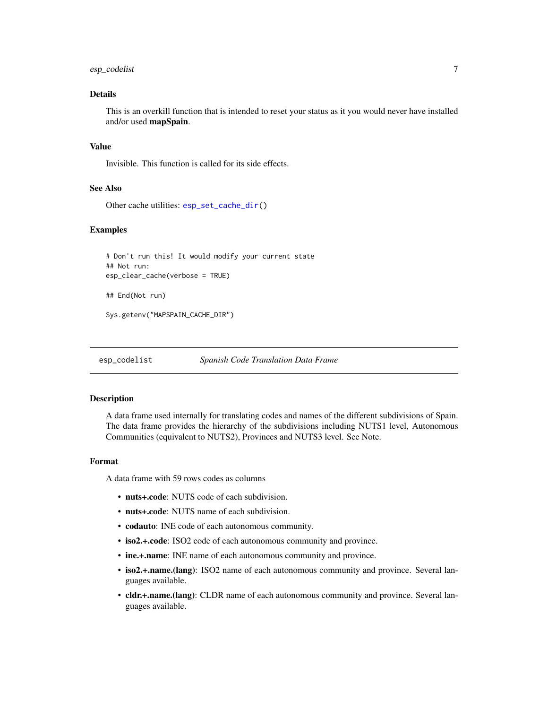# <span id="page-6-0"></span>esp\_codelist 7

# Details

This is an overkill function that is intended to reset your status as it you would never have installed and/or used mapSpain.

#### Value

Invisible. This function is called for its side effects.

#### See Also

Other cache utilities: [esp\\_set\\_cache\\_dir\(](#page-55-1))

#### Examples

```
# Don't run this! It would modify your current state
## Not run:
esp_clear_cache(verbose = TRUE)
## End(Not run)
Sys.getenv("MAPSPAIN_CACHE_DIR")
```
<span id="page-6-1"></span>esp\_codelist *Spanish Code Translation Data Frame*

#### Description

A data frame used internally for translating codes and names of the different subdivisions of Spain. The data frame provides the hierarchy of the subdivisions including NUTS1 level, Autonomous Communities (equivalent to NUTS2), Provinces and NUTS3 level. See Note.

# Format

A data frame with 59 rows codes as columns

- nuts+.code: NUTS code of each subdivision.
- nuts+.code: NUTS name of each subdivision.
- codauto: INE code of each autonomous community.
- iso2.+.code: ISO2 code of each autonomous community and province.
- ine.+.name: INE name of each autonomous community and province.
- iso2.+.name.(lang): ISO2 name of each autonomous community and province. Several languages available.
- cldr.+.name.(lang): CLDR name of each autonomous community and province. Several languages available.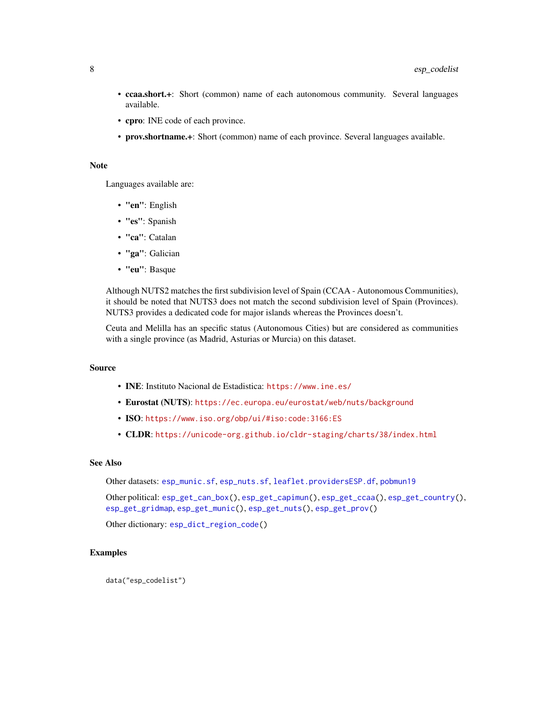- <span id="page-7-0"></span>• ccaa.short.+: Short (common) name of each autonomous community. Several languages available.
- cpro: INE code of each province.
- prov.shortname.+: Short (common) name of each province. Several languages available.

#### Note

Languages available are:

- "en": English
- "es": Spanish
- "ca": Catalan
- "ga": Galician
- "eu": Basque

Although NUTS2 matches the first subdivision level of Spain (CCAA - Autonomous Communities), it should be noted that NUTS3 does not match the second subdivision level of Spain (Provinces). NUTS3 provides a dedicated code for major islands whereas the Provinces doesn't.

Ceuta and Melilla has an specific status (Autonomous Cities) but are considered as communities with a single province (as Madrid, Asturias or Murcia) on this dataset.

#### Source

- INE: Instituto Nacional de Estadistica: <https://www.ine.es/>
- Eurostat (NUTS): <https://ec.europa.eu/eurostat/web/nuts/background>
- ISO: <https://www.iso.org/obp/ui/#iso:code:3166:ES>
- CLDR: <https://unicode-org.github.io/cldr-staging/charts/38/index.html>

#### See Also

Other datasets: [esp\\_munic.sf](#page-52-1), [esp\\_nuts.sf](#page-54-1), [leaflet.providersESP.df](#page-58-1), [pobmun19](#page-61-1)

Other political: [esp\\_get\\_can\\_box\(](#page-12-1)), [esp\\_get\\_capimun\(](#page-14-1)), [esp\\_get\\_ccaa\(](#page-17-1)), [esp\\_get\\_country\(](#page-20-1)), [esp\\_get\\_gridmap](#page-22-1), [esp\\_get\\_munic\(](#page-37-1)), [esp\\_get\\_nuts\(](#page-40-1)), [esp\\_get\\_prov\(](#page-43-1))

Other dictionary: [esp\\_dict\\_region\\_code\(](#page-8-1))

#### Examples

data("esp\_codelist")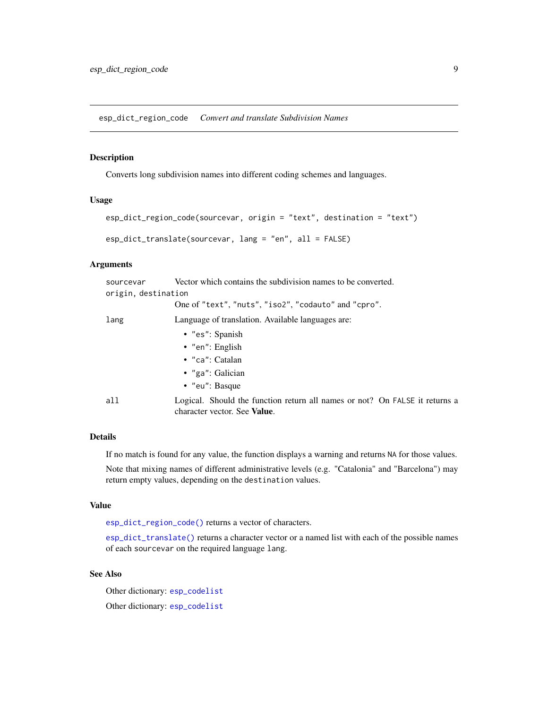<span id="page-8-1"></span><span id="page-8-0"></span>esp\_dict\_region\_code *Convert and translate Subdivision Names*

# <span id="page-8-2"></span>Description

Converts long subdivision names into different coding schemes and languages.

#### Usage

```
esp_dict_region_code(sourcevar, origin = "text", destination = "text")
esp_dict_translate(sourcevar, lang = "en", all = FALSE)
```
# **Arguments**

| sourcevar           | Vector which contains the subdivision names to be converted.                                                        |
|---------------------|---------------------------------------------------------------------------------------------------------------------|
| origin, destination |                                                                                                                     |
|                     | One of "text", "nuts", "iso2", "codauto" and "cpro".                                                                |
| lang                | Language of translation. Available languages are:                                                                   |
|                     | $\bullet$ "es": Spanish                                                                                             |
|                     | $\bullet$ "en": English                                                                                             |
|                     | $\bullet$ "ca": Catalan                                                                                             |
|                     | • "ga": Galician                                                                                                    |
|                     | $\bullet$ "eu": Basque                                                                                              |
| all                 | Logical. Should the function return all names or not? On FALSE it returns a<br>character vector. See <b>Value</b> . |

#### Details

If no match is found for any value, the function displays a warning and returns NA for those values.

Note that mixing names of different administrative levels (e.g. "Catalonia" and "Barcelona") may return empty values, depending on the destination values.

#### Value

[esp\\_dict\\_region\\_code\(\)](#page-8-1) returns a vector of characters.

[esp\\_dict\\_translate\(\)](#page-8-2) returns a character vector or a named list with each of the possible names of each sourcevar on the required language lang.

#### See Also

Other dictionary: [esp\\_codelist](#page-6-1) Other dictionary: [esp\\_codelist](#page-6-1)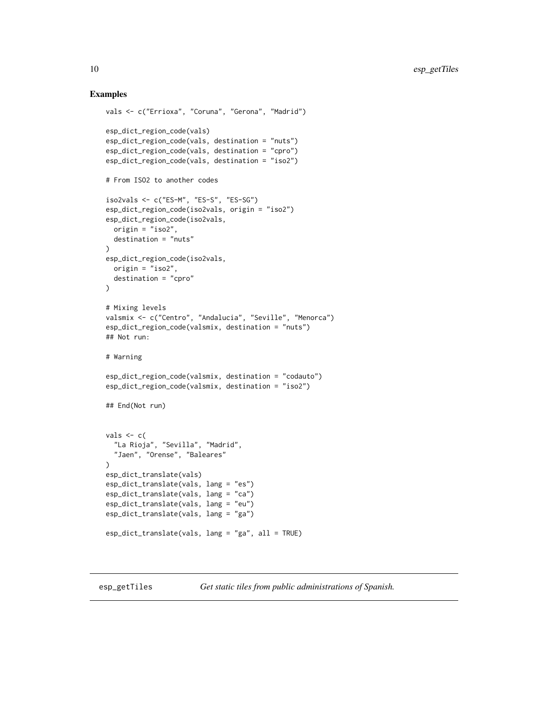# Examples

```
vals <- c("Errioxa", "Coruna", "Gerona", "Madrid")
esp_dict_region_code(vals)
esp_dict_region_code(vals, destination = "nuts")
esp_dict_region_code(vals, destination = "cpro")
esp_dict_region_code(vals, destination = "iso2")
# From ISO2 to another codes
iso2vals <- c("ES-M", "ES-S", "ES-SG")
esp_dict_region_code(iso2vals, origin = "iso2")
esp_dict_region_code(iso2vals,
 origin = "iso2",
  destination = "nuts"
\lambdaesp_dict_region_code(iso2vals,
  origin = "iso2",
  destination = "cpro"
)
# Mixing levels
valsmix <- c("Centro", "Andalucia", "Seville", "Menorca")
esp_dict_region_code(valsmix, destination = "nuts")
## Not run:
# Warning
esp_dict_region_code(valsmix, destination = "codauto")
esp_dict_region_code(valsmix, destination = "iso2")
## End(Not run)
vals \leftarrow c()"La Rioja", "Sevilla", "Madrid",
  "Jaen", "Orense", "Baleares"
)
esp_dict_translate(vals)
esp_dict_translate(vals, lang = "es")
esp_dict_translate(vals, lang = "ca")
esp_dict_translate(vals, lang = "eu")
esp_dict_translate(vals, lang = "ga")
esp_dict_translate(vals, lang = "ga", all = TRUE)
```
<span id="page-9-1"></span>esp\_getTiles *Get static tiles from public administrations of Spanish.*

<span id="page-9-0"></span>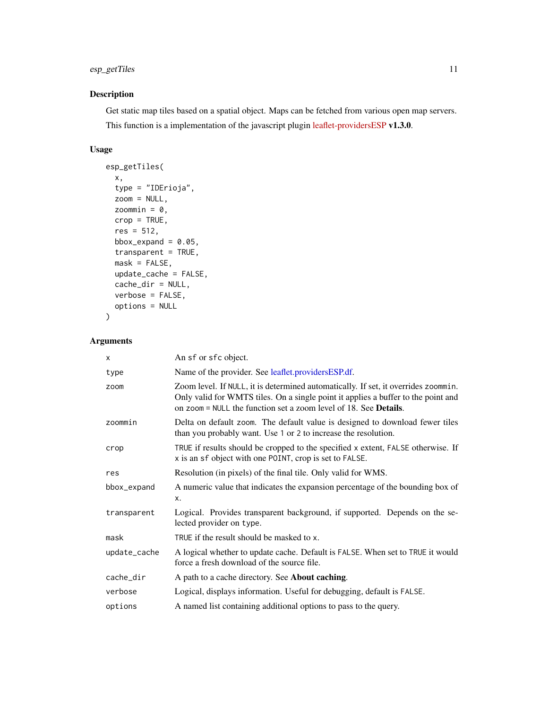# <span id="page-10-0"></span>esp\_getTiles 11

# Description

Get static map tiles based on a spatial object. Maps can be fetched from various open map servers. This function is a implementation of the javascript plugin [leaflet-providersESP](https://dieghernan.github.io/leaflet-providersESP/) v1.3.0.

# Usage

```
esp_getTiles(
 x,
 type = "IDErioja",
 zoom = NULL,
 zoommin = 0,
 crop = TRUE,res = 512,
 bbox_expand = 0.05,
 transparent = TRUE,
 mask = FALSE,update_cache = FALSE,
 cache_dir = NULL,
 verbose = FALSE,
 options = NULL
)
```
# Arguments

| X            | An sf or sfc object.                                                                                                                                                                                                                                |
|--------------|-----------------------------------------------------------------------------------------------------------------------------------------------------------------------------------------------------------------------------------------------------|
| type         | Name of the provider. See leaflet.providersESP.df.                                                                                                                                                                                                  |
| zoom         | Zoom level. If NULL, it is determined automatically. If set, it overrides zoommin.<br>Only valid for WMTS tiles. On a single point it applies a buffer to the point and<br>on zoom = NULL the function set a zoom level of 18. See <b>Details</b> . |
| zoommin      | Delta on default zoom. The default value is designed to download fewer tiles<br>than you probably want. Use 1 or 2 to increase the resolution.                                                                                                      |
| crop         | TRUE if results should be cropped to the specified x extent, FALSE otherwise. If<br>x is an sf object with one POINT, crop is set to FALSE.                                                                                                         |
| res          | Resolution (in pixels) of the final tile. Only valid for WMS.                                                                                                                                                                                       |
| bbox_expand  | A numeric value that indicates the expansion percentage of the bounding box of<br>X.                                                                                                                                                                |
| transparent  | Logical. Provides transparent background, if supported. Depends on the se-<br>lected provider on type.                                                                                                                                              |
| mask         | TRUE if the result should be masked to x.                                                                                                                                                                                                           |
| update_cache | A logical whether to update cache. Default is FALSE. When set to TRUE it would<br>force a fresh download of the source file.                                                                                                                        |
| cache_dir    | A path to a cache directory. See About caching.                                                                                                                                                                                                     |
| verbose      | Logical, displays information. Useful for debugging, default is FALSE.                                                                                                                                                                              |
| options      | A named list containing additional options to pass to the query.                                                                                                                                                                                    |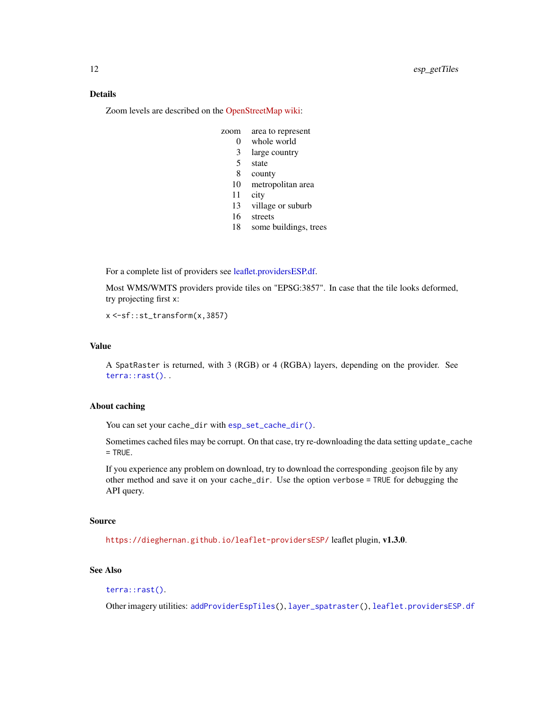# <span id="page-11-0"></span>Details

Zoom levels are described on the [OpenStreetMap wiki:](https://wiki.openstreetmap.org/wiki/Zoom_levels)

- zoom area to represent
	- 0 whole world
		- 3 large country
		- 5 state
		- 8 county
	- 10 metropolitan area
	- 11 city
	- 13 village or suburb
	- 16 streets
	- 18 some buildings, trees

For a complete list of providers see [leaflet.providersESP.df.](#page-58-1)

Most WMS/WMTS providers provide tiles on "EPSG:3857". In case that the tile looks deformed, try projecting first x:

x <-sf::st\_transform(x,3857)

# Value

A SpatRaster is returned, with 3 (RGB) or 4 (RGBA) layers, depending on the provider. See [terra::rast\(\)](#page-0-0). .

#### About caching

You can set your cache\_dir with [esp\\_set\\_cache\\_dir\(\)](#page-55-1).

Sometimes cached files may be corrupt. On that case, try re-downloading the data setting update\_cache  $=$  TRUE.

If you experience any problem on download, try to download the corresponding .geojson file by any other method and save it on your cache\_dir. Use the option verbose = TRUE for debugging the API query.

#### Source

<https://dieghernan.github.io/leaflet-providersESP/> leaflet plugin, v1.3.0.

# See Also

```
terra::rast().
```
Other imagery utilities: [addProviderEspTiles\(](#page-3-2)), [layer\\_spatraster\(](#page-56-1)), [leaflet.providersESP.df](#page-58-1)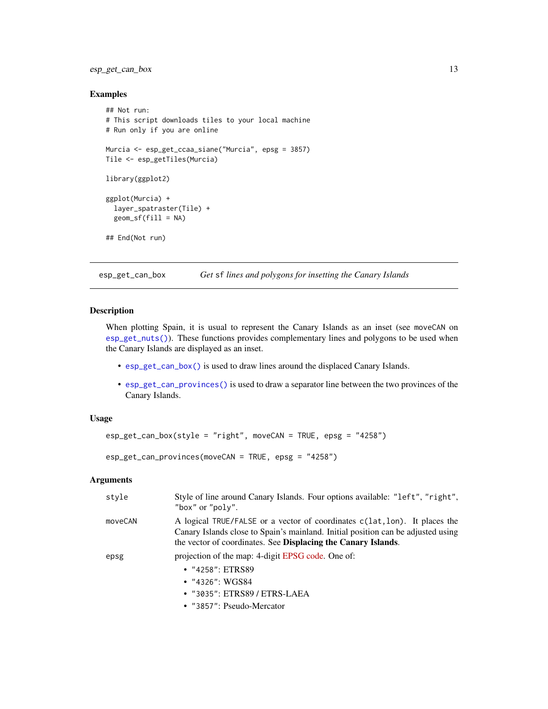# <span id="page-12-0"></span>esp\_get\_can\_box 13

# Examples

```
## Not run:
# This script downloads tiles to your local machine
# Run only if you are online
Murcia <- esp_get_ccaa_siane("Murcia", epsg = 3857)
Tile <- esp_getTiles(Murcia)
library(ggplot2)
ggplot(Murcia) +
  layer_spatraster(Tile) +
  geom_sf(fill = NA)
## End(Not run)
```
<span id="page-12-1"></span>esp\_get\_can\_box *Get* sf *lines and polygons for insetting the Canary Islands*

# <span id="page-12-2"></span>Description

When plotting Spain, it is usual to represent the Canary Islands as an inset (see moveCAN on [esp\\_get\\_nuts\(\)](#page-40-1)). These functions provides complementary lines and polygons to be used when the Canary Islands are displayed as an inset.

- [esp\\_get\\_can\\_box\(\)](#page-12-1) is used to draw lines around the displaced Canary Islands.
- [esp\\_get\\_can\\_provinces\(\)](#page-12-2) is used to draw a separator line between the two provinces of the Canary Islands.

# Usage

```
esp_get_can_box(style = "right", moveCAN = TRUE, epsg = "4258")
```
esp\_get\_can\_provinces(moveCAN = TRUE, epsg = "4258")

#### **Arguments**

| style   | Style of line around Canary Islands. Four options available: "left", "right",<br>"box" or "poly".                                                                                                                               |
|---------|---------------------------------------------------------------------------------------------------------------------------------------------------------------------------------------------------------------------------------|
| moveCAN | A logical TRUE/FALSE or a vector of coordinates c(lat, lon). It places the<br>Canary Islands close to Spain's mainland. Initial position can be adjusted using<br>the vector of coordinates. See Displacing the Canary Islands. |
| epsg    | projection of the map: 4-digit EPSG code. One of:                                                                                                                                                                               |
|         | $\cdot$ "4258": ETRS89                                                                                                                                                                                                          |
|         | • $"4326"$ : WGS84                                                                                                                                                                                                              |
|         | • "3035": ETRS89 / ETRS-LAEA                                                                                                                                                                                                    |
|         | • $"3857"$ : Pseudo-Mercator                                                                                                                                                                                                    |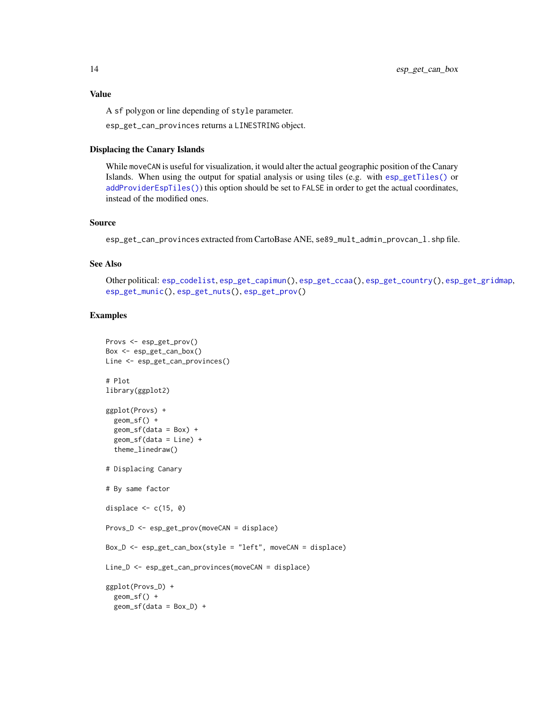<span id="page-13-0"></span>Value

A sf polygon or line depending of style parameter.

esp\_get\_can\_provinces returns a LINESTRING object.

#### Displacing the Canary Islands

While moveCAN is useful for visualization, it would alter the actual geographic position of the Canary Islands. When using the output for spatial analysis or using tiles (e.g. with [esp\\_getTiles\(\)](#page-9-1) or [addProviderEspTiles\(\)](#page-3-2)) this option should be set to FALSE in order to get the actual coordinates, instead of the modified ones.

# Source

esp\_get\_can\_provinces extracted from CartoBase ANE, se89\_mult\_admin\_provcan\_l.shp file.

# See Also

Other political: [esp\\_codelist](#page-6-1), [esp\\_get\\_capimun\(](#page-14-1)), [esp\\_get\\_ccaa\(](#page-17-1)), [esp\\_get\\_country\(](#page-20-1)), [esp\\_get\\_gridmap](#page-22-1), [esp\\_get\\_munic\(](#page-37-1)), [esp\\_get\\_nuts\(](#page-40-1)), [esp\\_get\\_prov\(](#page-43-1))

# Examples

```
Provs <- esp_get_prov()
Box <- esp_get_can_box()
Line <- esp_get_can_provinces()
# Plot
library(ggplot2)
ggplot(Provs) +
  geom_sf() +
  geom_s f(data = Box) +geom_sf(data = Line) +
  theme_linedraw()
# Displacing Canary
# By same factor
displace \leq c(15, 0)
Provs_D <- esp_get_prov(moveCAN = displace)
Box_D <- esp_get_can_box(style = "left", moveCAN = displace)
Line_D <- esp_get_can_provinces(moveCAN = displace)
ggplot(Provs_D) +
  geom_sf() +
  geom_sf(data = Box_D) +
```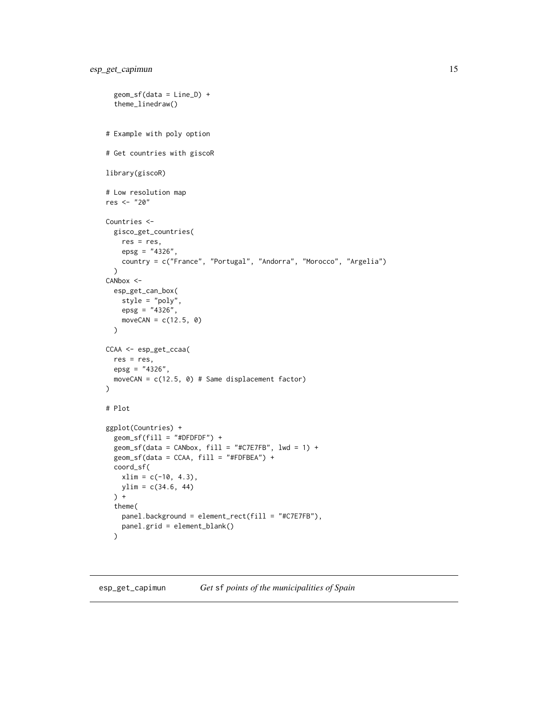```
geom_sf(data = Line_D) +
  theme_linedraw()
# Example with poly option
# Get countries with giscoR
library(giscoR)
# Low resolution map
res <- "20"
Countries <-
  gisco_get_countries(
   res = res,
   epsg = "4326".
    country = c("France", "Portugal", "Andorra", "Morocco", "Argelia")
  \mathcal{L}CANbox <-
  esp_get_can_box(
   style = "poly",
    epsg = "4326",moveCAN = c(12.5, 0)\mathcal{L}CCAA <- esp_get_ccaa(
  res = res,
  epsg = "4326",
  moveCAN = c(12.5, 0) # Same displacement factor)
\mathcal{L}# Plot
ggplot(Countries) +
  geom_sfffill = "#DFDFDF") +geom_sf(data = CANbox, fill = "#C7E7FB", 1wd = 1) +
  geom_sf(data = CCAA, fill = "#FDFBEA") +
  coord_sf(
    xlim = c(-10, 4.3),ylim = c(34.6, 44)
 ) +
  theme(
    panel.background = element_rect(fill = "#C7E7FB"),
    panel.grid = element_blank()
  )
```
<span id="page-14-1"></span>esp\_get\_capimun *Get* sf *points of the municipalities of Spain*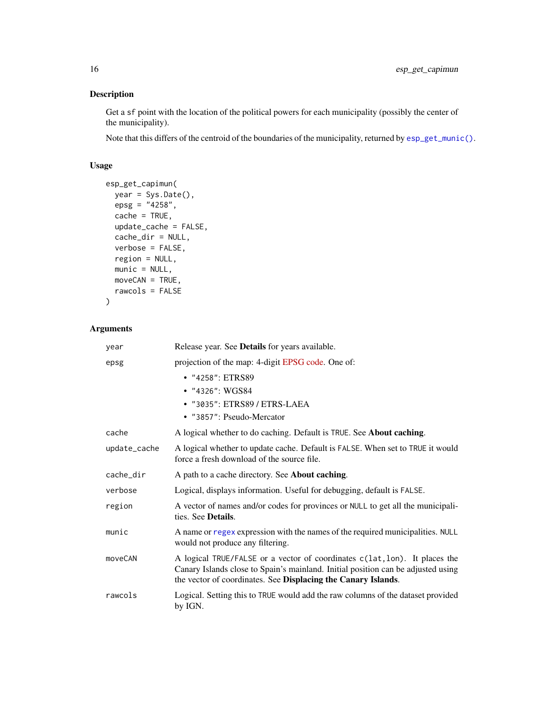# Description

Get a sf point with the location of the political powers for each municipality (possibly the center of the municipality).

Note that this differs of the centroid of the boundaries of the municipality, returned by [esp\\_get\\_munic\(\)](#page-37-1).

# Usage

```
esp_get_capimun(
 year = Sys.Date(),
 epsg = "4258",cache = TRUE,
 update_cache = FALSE,
 cache_dir = NULL,
 verbose = FALSE,
 region = NULL,
 munic = NULL,moveCAN = TRUE,rawcols = FALSE
\mathcal{L}
```
# Arguments

| year         | Release year. See Details for years available.                                                                                                                                                                                  |
|--------------|---------------------------------------------------------------------------------------------------------------------------------------------------------------------------------------------------------------------------------|
| epsg         | projection of the map: 4-digit EPSG code. One of:                                                                                                                                                                               |
|              | • "4258": ETRS89                                                                                                                                                                                                                |
|              | • "4326": WGS84                                                                                                                                                                                                                 |
|              | • "3035": ETRS89 / ETRS-LAEA                                                                                                                                                                                                    |
|              | • "3857": Pseudo-Mercator                                                                                                                                                                                                       |
| cache        | A logical whether to do caching. Default is TRUE. See About caching.                                                                                                                                                            |
| update_cache | A logical whether to update cache. Default is FALSE. When set to TRUE it would<br>force a fresh download of the source file.                                                                                                    |
| cache_dir    | A path to a cache directory. See About caching.                                                                                                                                                                                 |
| verbose      | Logical, displays information. Useful for debugging, default is FALSE.                                                                                                                                                          |
| region       | A vector of names and/or codes for provinces or NULL to get all the municipali-<br>ties. See Details.                                                                                                                           |
| munic        | A name or regex expression with the names of the required municipalities. NULL<br>would not produce any filtering.                                                                                                              |
| moveCAN      | A logical TRUE/FALSE or a vector of coordinates c(lat, lon). It places the<br>Canary Islands close to Spain's mainland. Initial position can be adjusted using<br>the vector of coordinates. See Displacing the Canary Islands. |
| rawcols      | Logical. Setting this to TRUE would add the raw columns of the dataset provided<br>by IGN.                                                                                                                                      |

<span id="page-15-0"></span>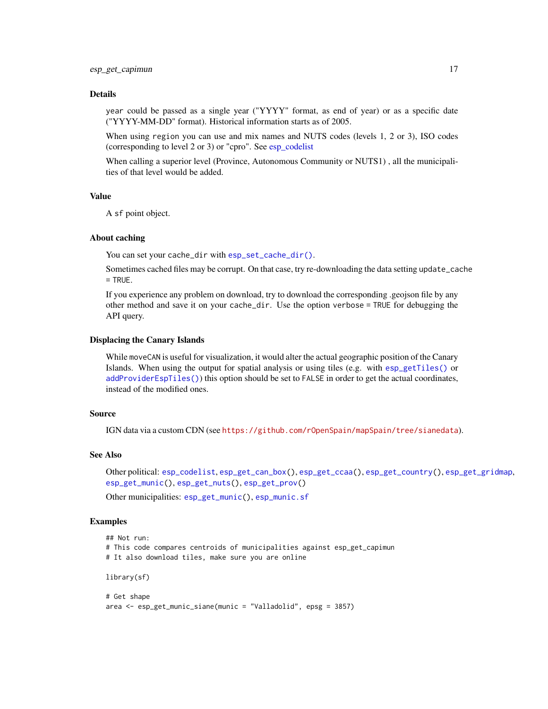#### <span id="page-16-0"></span>Details

year could be passed as a single year ("YYYY" format, as end of year) or as a specific date ("YYYY-MM-DD" format). Historical information starts as of 2005.

When using region you can use and mix names and NUTS codes (levels 1, 2 or 3), ISO codes (corresponding to level 2 or 3) or "cpro". See [esp\\_codelist](#page-6-1)

When calling a superior level (Province, Autonomous Community or NUTS1) , all the municipalities of that level would be added.

# Value

A sf point object.

#### About caching

You can set your cache\_dir with [esp\\_set\\_cache\\_dir\(\)](#page-55-1).

Sometimes cached files may be corrupt. On that case, try re-downloading the data setting update\_cache  $=$  TRUE.

If you experience any problem on download, try to download the corresponding .geojson file by any other method and save it on your cache\_dir. Use the option verbose = TRUE for debugging the API query.

#### Displacing the Canary Islands

While moveCAN is useful for visualization, it would alter the actual geographic position of the Canary Islands. When using the output for spatial analysis or using tiles (e.g. with [esp\\_getTiles\(\)](#page-9-1) or [addProviderEspTiles\(\)](#page-3-2)) this option should be set to FALSE in order to get the actual coordinates, instead of the modified ones.

# Source

IGN data via a custom CDN (see <https://github.com/rOpenSpain/mapSpain/tree/sianedata>).

#### See Also

Other political: [esp\\_codelist](#page-6-1), [esp\\_get\\_can\\_box\(](#page-12-1)), [esp\\_get\\_ccaa\(](#page-17-1)), [esp\\_get\\_country\(](#page-20-1)), [esp\\_get\\_gridmap](#page-22-1), [esp\\_get\\_munic\(](#page-37-1)), [esp\\_get\\_nuts\(](#page-40-1)), [esp\\_get\\_prov\(](#page-43-1))

Other municipalities: [esp\\_get\\_munic\(](#page-37-1)), [esp\\_munic.sf](#page-52-1)

#### Examples

```
## Not run:
# This code compares centroids of municipalities against esp_get_capimun
# It also download tiles, make sure you are online
library(sf)
# Get shape
```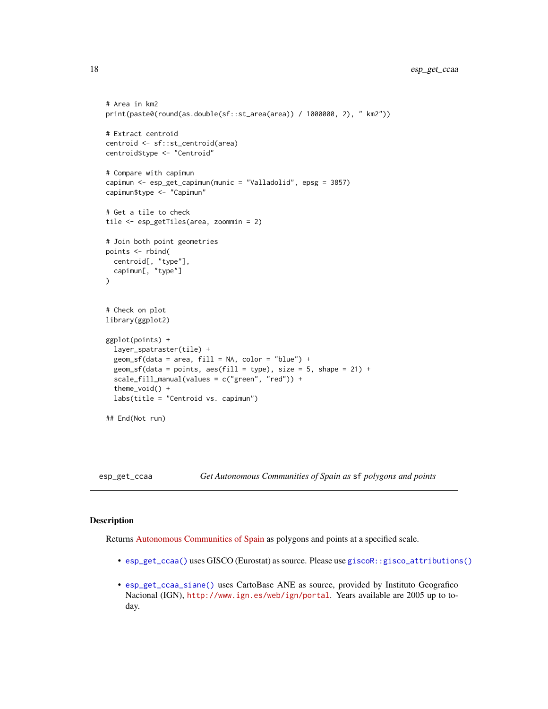```
# Area in km2
print(paste0(round(as.double(sf::st_area(area)) / 1000000, 2), " km2"))
# Extract centroid
centroid <- sf::st_centroid(area)
centroid$type <- "Centroid"
# Compare with capimun
capimun <- esp_get_capimun(munic = "Valladolid", epsg = 3857)
capimun$type <- "Capimun"
# Get a tile to check
tile <- esp_getTiles(area, zoommin = 2)
# Join both point geometries
points <- rbind(
 centroid[, "type"],
 capimun[, "type"]
)
# Check on plot
library(ggplot2)
ggplot(points) +
 layer_spatraster(tile) +
 geom_s f(data = area, fill = NA, color = "blue") +geom_sf(data = points, aes(fill = type), size = 5, shape = 21) +
 scale_fill_manual(values = c("green", "red")) +
 theme_void() +
 labs(title = "Centroid vs. capimun")
## End(Not run)
```
<span id="page-17-1"></span>esp\_get\_ccaa *Get Autonomous Communities of Spain as* sf *polygons and points*

#### <span id="page-17-2"></span>Description

Returns [Autonomous Communities of Spain](https://en.wikipedia.org/wiki/Autonomous_communities_of_Spain) as polygons and points at a specified scale.

- [esp\\_get\\_ccaa\(\)](#page-17-1) uses GISCO (Eurostat) as source. Please use [giscoR::gisco\\_attributions\(\)](#page-0-0)
- [esp\\_get\\_ccaa\\_siane\(\)](#page-17-2) uses CartoBase ANE as source, provided by Instituto Geografico Nacional (IGN), <http://www.ign.es/web/ign/portal>. Years available are 2005 up to today.

<span id="page-17-0"></span>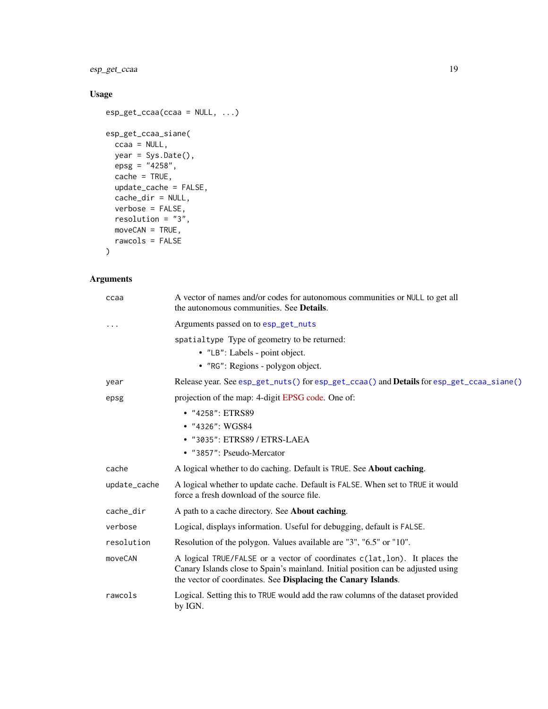<span id="page-18-0"></span>esp\_get\_ccaa 19

# Usage

```
esp_get_ccaa(ccaa = NULL, ...)
esp_get_ccaa_siane(
  ccaa = NULL,
  year = Sys.Date(),
  epsg = "4258",cache = TRUE,update_cache = FALSE,
  cache_dir = NULL,
  verbose = FALSE,
  resolution = "3",
  moveCAN = TRUE,rawcols = FALSE
\mathcal{L}
```
# Arguments

| ccaa         | A vector of names and/or codes for autonomous communities or NULL to get all<br>the autonomous communities. See Details.                                                                                                        |
|--------------|---------------------------------------------------------------------------------------------------------------------------------------------------------------------------------------------------------------------------------|
|              | Arguments passed on to esp_get_nuts                                                                                                                                                                                             |
|              | spatialtype Type of geometry to be returned:<br>• "LB": Labels - point object.<br>• "RG": Regions - polygon object.                                                                                                             |
| year         | Release year. See esp_get_nuts() for esp_get_ccaa() and <b>Details</b> for esp_get_ccaa_siane()                                                                                                                                 |
| epsg         | projection of the map: 4-digit EPSG code. One of:                                                                                                                                                                               |
|              | • "4258": ETRS89<br>• "4326": WGS84<br>• "3035": ETRS89 / ETRS-LAEA<br>• "3857": Pseudo-Mercator                                                                                                                                |
| cache        | A logical whether to do caching. Default is TRUE. See <b>About caching</b> .                                                                                                                                                    |
| update_cache | A logical whether to update cache. Default is FALSE. When set to TRUE it would<br>force a fresh download of the source file.                                                                                                    |
| cache_dir    | A path to a cache directory. See <b>About caching</b> .                                                                                                                                                                         |
| verbose      | Logical, displays information. Useful for debugging, default is FALSE.                                                                                                                                                          |
| resolution   | Resolution of the polygon. Values available are "3", "6.5" or "10".                                                                                                                                                             |
| moveCAN      | A logical TRUE/FALSE or a vector of coordinates c(lat, lon). It places the<br>Canary Islands close to Spain's mainland. Initial position can be adjusted using<br>the vector of coordinates. See Displacing the Canary Islands. |
| rawcols      | Logical. Setting this to TRUE would add the raw columns of the dataset provided<br>by IGN.                                                                                                                                      |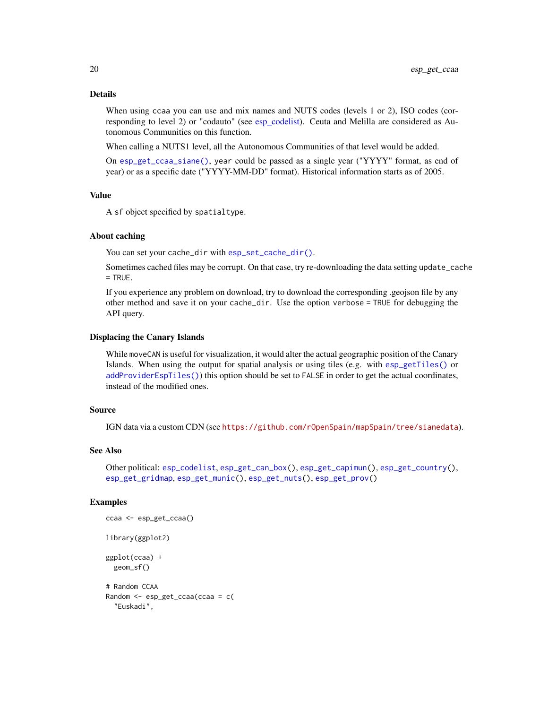# <span id="page-19-0"></span>Details

When using ccaa you can use and mix names and NUTS codes (levels 1 or 2), ISO codes (corresponding to level 2) or "codauto" (see [esp\\_codelist\)](#page-6-1). Ceuta and Melilla are considered as Autonomous Communities on this function.

When calling a NUTS1 level, all the Autonomous Communities of that level would be added.

On [esp\\_get\\_ccaa\\_siane\(\)](#page-17-2), year could be passed as a single year ("YYYY" format, as end of year) or as a specific date ("YYYY-MM-DD" format). Historical information starts as of 2005.

# Value

A sf object specified by spatialtype.

#### About caching

You can set your cache\_dir with [esp\\_set\\_cache\\_dir\(\)](#page-55-1).

Sometimes cached files may be corrupt. On that case, try re-downloading the data setting update\_cache  $=$  TRUE.

If you experience any problem on download, try to download the corresponding .geojson file by any other method and save it on your cache\_dir. Use the option verbose = TRUE for debugging the API query.

#### Displacing the Canary Islands

While moveCAN is useful for visualization, it would alter the actual geographic position of the Canary Islands. When using the output for spatial analysis or using tiles (e.g. with [esp\\_getTiles\(\)](#page-9-1) or [addProviderEspTiles\(\)](#page-3-2)) this option should be set to FALSE in order to get the actual coordinates, instead of the modified ones.

#### Source

IGN data via a custom CDN (see <https://github.com/rOpenSpain/mapSpain/tree/sianedata>).

#### See Also

```
Other political: esp_codelist, esp_get_can_box(), esp_get_capimun(), esp_get_country(),
esp_get_gridmap, esp_get_munic(), esp_get_nuts(), esp_get_prov()
```
#### Examples

```
ccaa <- esp_get_ccaa()
library(ggplot2)
ggplot(ccaa) +
 geom_sf()
# Random CCAA
Random <- esp_get_ccaa(ccaa = c(
 "Euskadi",
```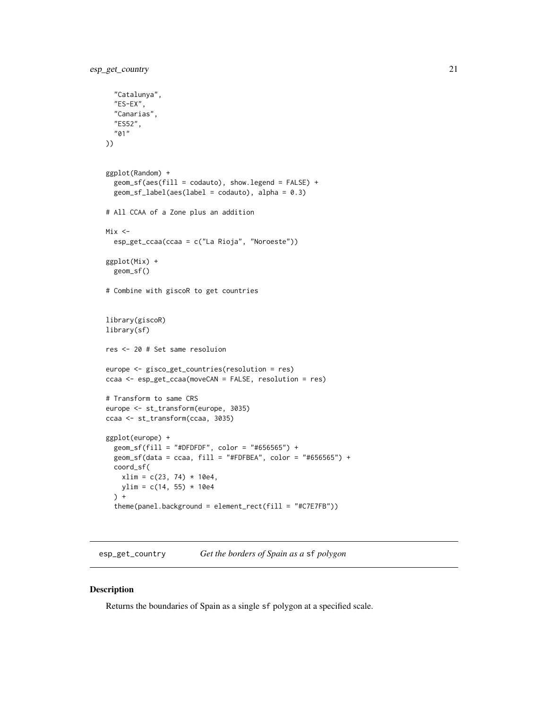```
"Catalunya",
  "ES-EX",
  "Canarias",
  "ES52",
  "01"
))
ggplot(Random) +
  geom_sf(aes(fill = codauto), show.legend = FALSE) +
  geom_sf_label(aes(label = codauto), alpha = 0.3)
# All CCAA of a Zone plus an addition
Mix <-
  esp_get_ccaa(ccaa = c("La Rioja", "Noroeste"))
ggplot(Mix) +
  geom_sf()
# Combine with giscoR to get countries
library(giscoR)
library(sf)
res <- 20 # Set same resoluion
europe <- gisco_get_countries(resolution = res)
ccaa <- esp_get_ccaa(moveCAN = FALSE, resolution = res)
# Transform to same CRS
europe <- st_transform(europe, 3035)
ccaa <- st_transform(ccaa, 3035)
ggplot(europe) +
  geom_sf(fill = "#DFDFDF", color = "#656565") +
  geom_sf(data = ccaa, fill = "#FDFBEA", color = "#656565") +
  coord_sf(
   xlim = c(23, 74) * 10e4,ylim = c(14, 55) * 10e4) +
  theme(panel.background = element_rect(fill = "#C7E7FB"))
```
<span id="page-20-1"></span>esp\_get\_country *Get the borders of Spain as a* sf *polygon*

# Description

Returns the boundaries of Spain as a single sf polygon at a specified scale.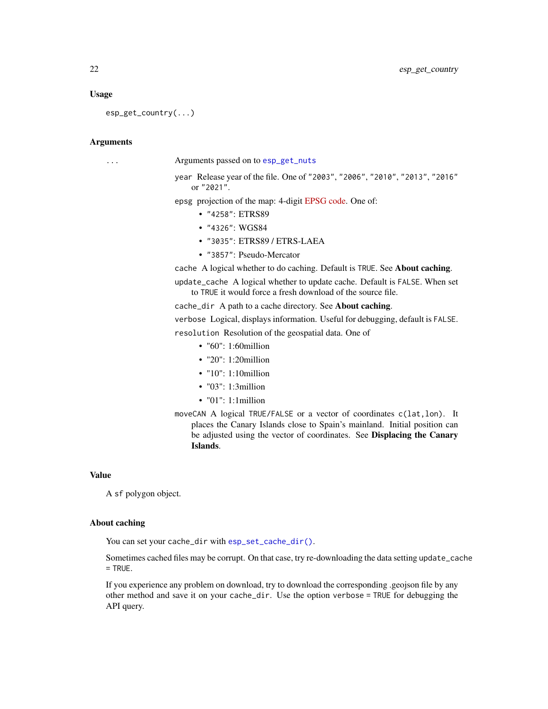#### <span id="page-21-0"></span>Usage

esp\_get\_country(...)

#### Arguments

... Arguments passed on to [esp\\_get\\_nuts](#page-40-1)

year Release year of the file. One of "2003", "2006", "2010", "2013", "2016" or "2021".

epsg projection of the map: 4-digit [EPSG code.](https://epsg.io/) One of:

- "4258": ETRS89
- "4326": WGS84
- "3035": ETRS89 / ETRS-LAEA
- "3857": Pseudo-Mercator

cache A logical whether to do caching. Default is TRUE. See About caching.

update\_cache A logical whether to update cache. Default is FALSE. When set to TRUE it would force a fresh download of the source file.

cache\_dir A path to a cache directory. See About caching.

verbose Logical, displays information. Useful for debugging, default is FALSE.

resolution Resolution of the geospatial data. One of

- "60": 1:60million
- "20": 1:20million
- "10": 1:10million
- "03": 1:3million
- "01": 1:1million
- moveCAN A logical TRUE/FALSE or a vector of coordinates c(lat,lon). It places the Canary Islands close to Spain's mainland. Initial position can be adjusted using the vector of coordinates. See Displacing the Canary Islands.

#### Value

A sf polygon object.

#### About caching

You can set your cache\_dir with [esp\\_set\\_cache\\_dir\(\)](#page-55-1).

Sometimes cached files may be corrupt. On that case, try re-downloading the data setting update\_cache  $=$  TRUE.

If you experience any problem on download, try to download the corresponding .geojson file by any other method and save it on your cache\_dir. Use the option verbose = TRUE for debugging the API query.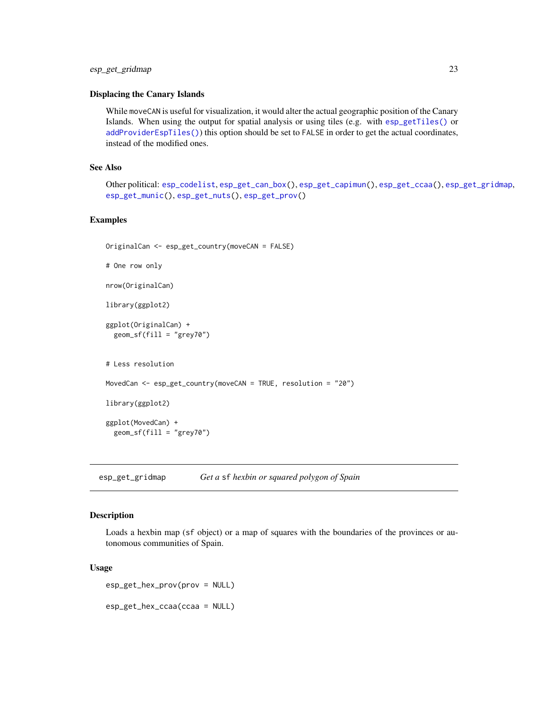#### <span id="page-22-0"></span>Displacing the Canary Islands

While moveCAN is useful for visualization, it would alter the actual geographic position of the Canary Islands. When using the output for spatial analysis or using tiles (e.g. with [esp\\_getTiles\(\)](#page-9-1) or [addProviderEspTiles\(\)](#page-3-2)) this option should be set to FALSE in order to get the actual coordinates, instead of the modified ones.

# See Also

Other political: [esp\\_codelist](#page-6-1), [esp\\_get\\_can\\_box\(](#page-12-1)), [esp\\_get\\_capimun\(](#page-14-1)), [esp\\_get\\_ccaa\(](#page-17-1)), [esp\\_get\\_gridmap](#page-22-1), [esp\\_get\\_munic\(](#page-37-1)), [esp\\_get\\_nuts\(](#page-40-1)), [esp\\_get\\_prov\(](#page-43-1))

#### Examples

```
OriginalCan <- esp_get_country(moveCAN = FALSE)
```
# One row only

nrow(OriginalCan)

library(ggplot2)

```
ggplot(OriginalCan) +
 geom_sf(fill = "grey70")
```
# Less resolution

MovedCan <- esp\_get\_country(moveCAN = TRUE, resolution = "20")

library(ggplot2)

ggplot(MovedCan) + geom\_sf(fill = "grey70")

<span id="page-22-1"></span>esp\_get\_gridmap *Get a* sf *hexbin or squared polygon of Spain*

#### Description

Loads a hexbin map (sf object) or a map of squares with the boundaries of the provinces or autonomous communities of Spain.

#### Usage

```
esp_get_hex_prov(prov = NULL)
```
esp\_get\_hex\_ccaa(ccaa = NULL)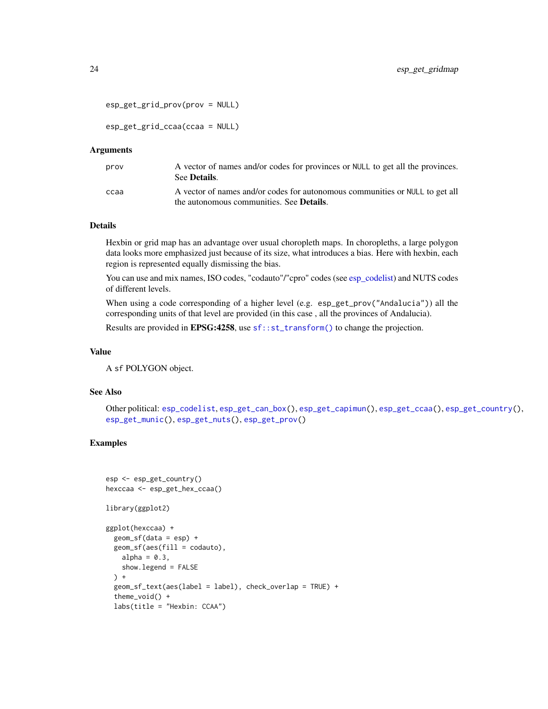```
esp_get_grid_prov(prov = NULL)
```
esp\_get\_grid\_ccaa(ccaa = NULL)

#### Arguments

| prov | A vector of names and/or codes for provinces or NULL to get all the provinces.<br>See <b>Details</b> .                           |
|------|----------------------------------------------------------------------------------------------------------------------------------|
| ссаа | A vector of names and/or codes for autonomous communities or NULL to get all<br>the autonomous communities. See <b>Details</b> . |

# Details

Hexbin or grid map has an advantage over usual choropleth maps. In choropleths, a large polygon data looks more emphasized just because of its size, what introduces a bias. Here with hexbin, each region is represented equally dismissing the bias.

You can use and mix names, ISO codes, "codauto"/"cpro" codes (see [esp\\_codelist\)](#page-6-1) and NUTS codes of different levels.

When using a code corresponding of a higher level (e.g. esp\_get\_prov("Andalucia")) all the corresponding units of that level are provided (in this case , all the provinces of Andalucia).

Results are provided in **EPSG:4258**, use [sf::st\\_transform\(\)](#page-0-0) to change the projection.

#### Value

A sf POLYGON object.

#### See Also

Other political: [esp\\_codelist](#page-6-1), [esp\\_get\\_can\\_box\(](#page-12-1)), [esp\\_get\\_capimun\(](#page-14-1)), [esp\\_get\\_ccaa\(](#page-17-1)), [esp\\_get\\_country\(](#page-20-1)), [esp\\_get\\_munic\(](#page-37-1)), [esp\\_get\\_nuts\(](#page-40-1)), [esp\\_get\\_prov\(](#page-43-1))

# Examples

```
esp <- esp_get_country()
hexccaa <- esp_get_hex_ccaa()
library(ggplot2)
ggplot(hexccaa) +
  geom_sf(data = esp) +
  geom_sf(aes(fill = codauto),
   alpha = 0.3,
   show.legend = FALSE
  ) +geom_sf_text(aes(label = label), check_overlap = TRUE) +
  theme_void() +
  labs(title = "Hexbin: CCAA")
```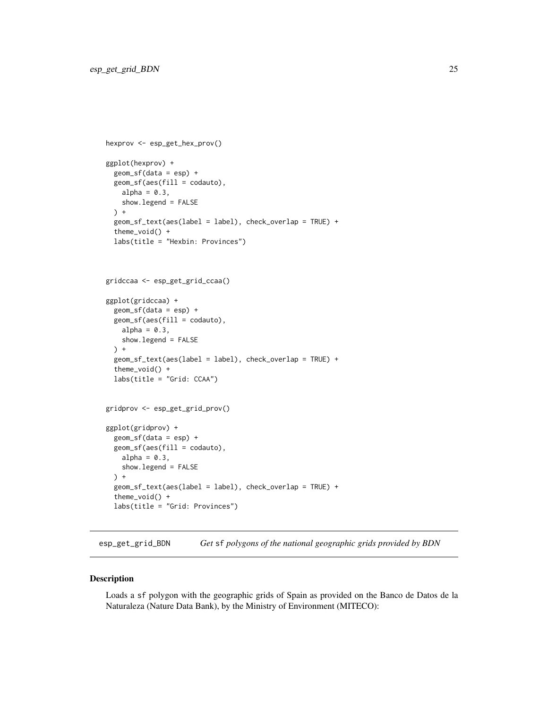```
hexprov <- esp_get_hex_prov()
ggplot(hexprov) +
  geom_sf(data = esp) +
  geom_sf(aes(fill = codauto),
   alpha = 0.3,
    show.legend = FALSE
  ) +geom_sf_text(aes(label = label), check_overlap = TRUE) +
  theme_void() +
  labs(title = "Hexbin: Provinces")
gridccaa <- esp_get_grid_ccaa()
ggplot(gridccaa) +
  geom_sf(data = esp) +
  geom_sf(aes(fill = codauto),
   alpha = 0.3,
    show.legend = FALSE
  ) +geom_sf_text(aes(label = label), check_overlap = TRUE) +
  theme_void() +
  labs(title = "Grid: CCAA")
gridprov <- esp_get_grid_prov()
ggplot(gridprov) +
  geom_sf(data = esp) +
  geom_sf(aes(fill = codauto),
   alpha = 0.3,
    show.legend = FALSE
  ) +geom_sf_text(aes(label = label), check_overlap = TRUE) +
  theme_void() +
  labs(title = "Grid: Provinces")
```
<span id="page-24-1"></span>esp\_get\_grid\_BDN *Get* sf *polygons of the national geographic grids provided by BDN*

#### <span id="page-24-2"></span>Description

Loads a sf polygon with the geographic grids of Spain as provided on the Banco de Datos de la Naturaleza (Nature Data Bank), by the Ministry of Environment (MITECO):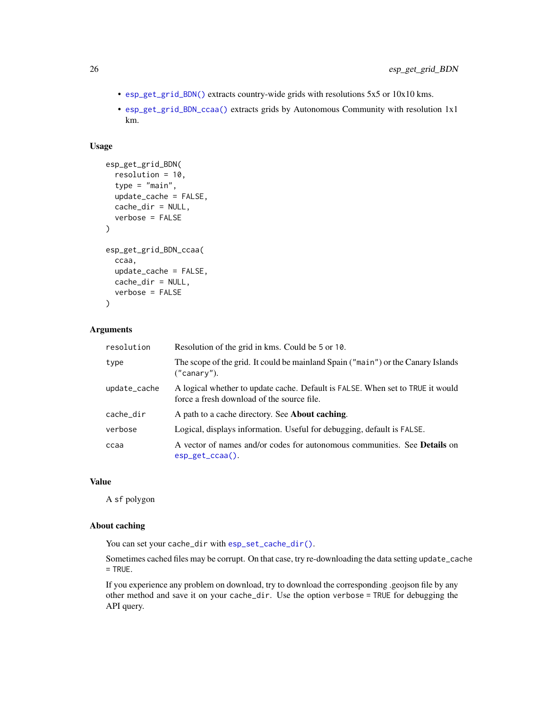- [esp\\_get\\_grid\\_BDN\(\)](#page-24-1) extracts country-wide grids with resolutions 5x5 or 10x10 kms.
- [esp\\_get\\_grid\\_BDN\\_ccaa\(\)](#page-24-2) extracts grids by Autonomous Community with resolution 1x1 km.

# Usage

```
esp_get_grid_BDN(
  resolution = 10,
  type = "main",update_cache = FALSE,
 cache_dir = NULL,
  verbose = FALSE
)
esp_get_grid_BDN_ccaa(
  ccaa,
 update_cache = FALSE,
 cache_dir = NULL,
  verbose = FALSE
)
```
# Arguments

| resolution   | Resolution of the grid in kms. Could be 5 or 10.                                                                             |
|--------------|------------------------------------------------------------------------------------------------------------------------------|
| type         | The scope of the grid. It could be mainland Spain ("main") or the Canary Islands<br>("canary").                              |
| update_cache | A logical whether to update cache. Default is FALSE. When set to TRUE it would<br>force a fresh download of the source file. |
| cache_dir    | A path to a cache directory. See <b>About caching</b> .                                                                      |
| verbose      | Logical, displays information. Useful for debugging, default is FALSE.                                                       |
| ccaa         | A vector of names and/or codes for autonomous communities. See <b>Details</b> on<br>$esp\_get\_ccaa()$ .                     |

# Value

A sf polygon

# About caching

You can set your cache\_dir with [esp\\_set\\_cache\\_dir\(\)](#page-55-1).

Sometimes cached files may be corrupt. On that case, try re-downloading the data setting update\_cache = TRUE.

If you experience any problem on download, try to download the corresponding .geojson file by any other method and save it on your cache\_dir. Use the option verbose = TRUE for debugging the API query.

<span id="page-25-0"></span>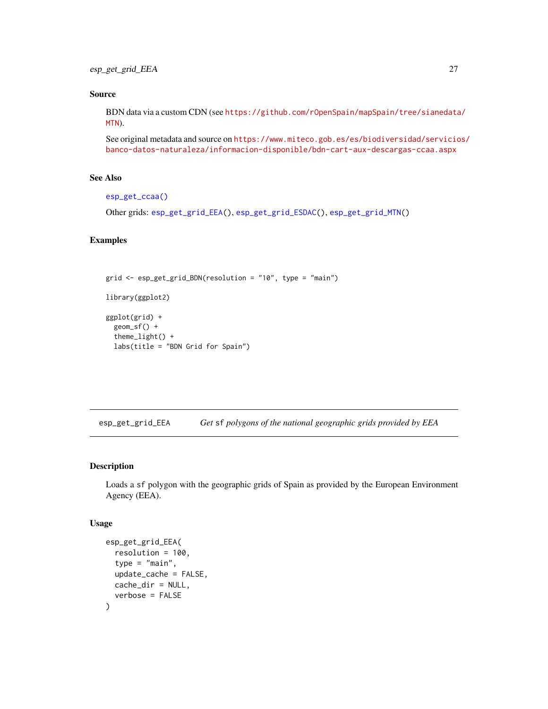# <span id="page-26-0"></span>Source

BDN data via a custom CDN (see [https://github.com/rOpenSpain/mapSpain/tree/sianedata](https://github.com/rOpenSpain/mapSpain/tree/sianedata/MTN)/ [MTN](https://github.com/rOpenSpain/mapSpain/tree/sianedata/MTN)).

See original metadata and source on [https://www.miteco.gob.es/es/biodiversidad/servicio](https://www.miteco.gob.es/es/biodiversidad/servicios/banco-datos-naturaleza/informacion-disponible/bdn-cart-aux-descargas-ccaa.aspx)s/ [banco-datos-naturaleza/informacion-disponible/bdn-cart-aux-descargas-ccaa.aspx](https://www.miteco.gob.es/es/biodiversidad/servicios/banco-datos-naturaleza/informacion-disponible/bdn-cart-aux-descargas-ccaa.aspx)

# See Also

```
esp_get_ccaa()
```
Other grids: [esp\\_get\\_grid\\_EEA\(](#page-26-1)), [esp\\_get\\_grid\\_ESDAC\(](#page-28-1)), [esp\\_get\\_grid\\_MTN\(](#page-29-1))

#### Examples

```
grid <- esp_get_grid_BDN(resolution = "10", type = "main")
library(ggplot2)
ggplot(grid) +
  geom_sf() +
  theme_light() +
  labs(title = "BDN Grid for Spain")
```
<span id="page-26-1"></span>esp\_get\_grid\_EEA *Get* sf *polygons of the national geographic grids provided by EEA*

#### Description

Loads a sf polygon with the geographic grids of Spain as provided by the European Environment Agency (EEA).

#### Usage

```
esp_get_grid_EEA(
  resolution = 100,
  type = "main",
  update_cache = FALSE,
 cache_dir = NULL,
  verbose = FALSE
)
```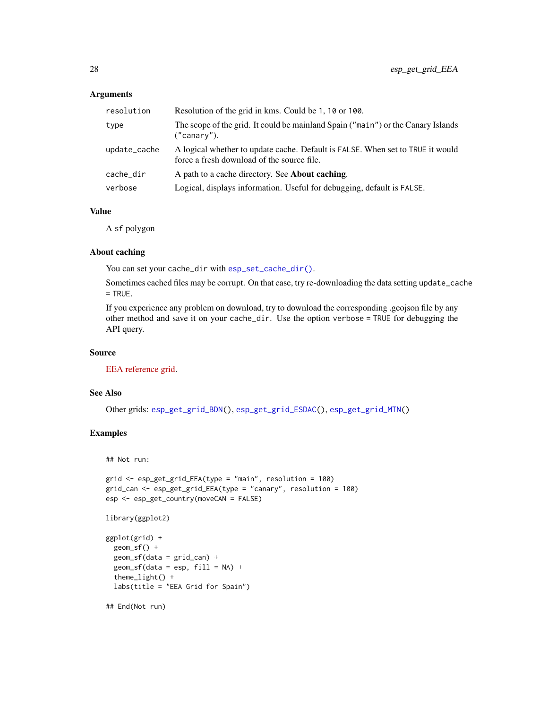#### <span id="page-27-0"></span>Arguments

| resolution   | Resolution of the grid in kms. Could be 1, 10 or 100.                                                                        |
|--------------|------------------------------------------------------------------------------------------------------------------------------|
| type         | The scope of the grid. It could be mainland Spain ("main") or the Canary Islands<br>("canary").                              |
| update_cache | A logical whether to update cache. Default is FALSE. When set to TRUE it would<br>force a fresh download of the source file. |
| cache dir    | A path to a cache directory. See <b>About caching</b> .                                                                      |
| verbose      | Logical, displays information. Useful for debugging, default is FALSE.                                                       |

# Value

A sf polygon

#### About caching

You can set your cache\_dir with [esp\\_set\\_cache\\_dir\(\)](#page-55-1).

Sometimes cached files may be corrupt. On that case, try re-downloading the data setting update\_cache = TRUE.

If you experience any problem on download, try to download the corresponding .geojson file by any other method and save it on your cache\_dir. Use the option verbose = TRUE for debugging the API query.

#### Source

[EEA reference grid.](https://www.eea.europa.eu/data-and-maps/data/eea-reference-grids-2)

# See Also

Other grids: [esp\\_get\\_grid\\_BDN\(](#page-24-1)), [esp\\_get\\_grid\\_ESDAC\(](#page-28-1)), [esp\\_get\\_grid\\_MTN\(](#page-29-1))

# Examples

## Not run:

```
grid <- esp_get_grid_EEA(type = "main", resolution = 100)
grid_can <- esp_get_grid_EEA(type = "canary", resolution = 100)
esp <- esp_get_country(moveCAN = FALSE)
```

```
library(ggplot2)
```

```
ggplot(grid) +
 geom_sf() +
 geom_sf(data = grid_can) +
 geom_s f(data = esp, fill = NA) +theme_light() +
 labs(title = "EEA Grid for Spain")
```
## End(Not run)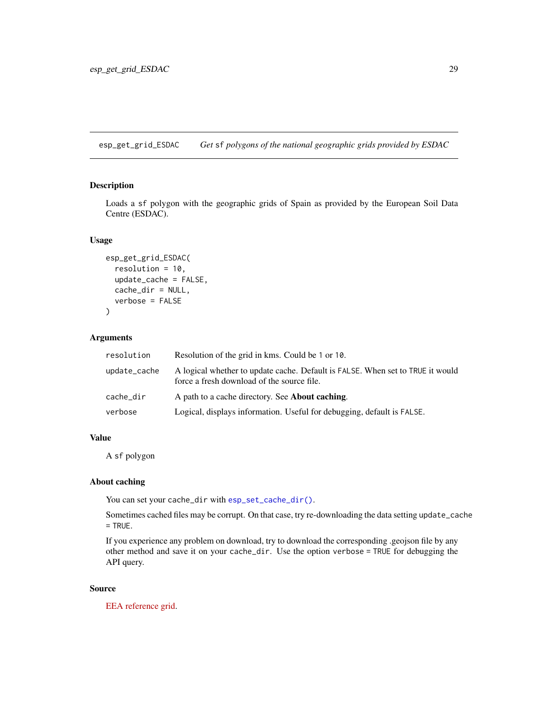<span id="page-28-1"></span><span id="page-28-0"></span>esp\_get\_grid\_ESDAC *Get* sf *polygons of the national geographic grids provided by ESDAC*

# Description

Loads a sf polygon with the geographic grids of Spain as provided by the European Soil Data Centre (ESDAC).

#### Usage

```
esp_get_grid_ESDAC(
  resolution = 10,
  update_cache = FALSE,
  cache_dir = NULL,
  verbose = FALSE
)
```
# Arguments

| resolution   | Resolution of the grid in kms. Could be 1 or 10.                                                                             |
|--------------|------------------------------------------------------------------------------------------------------------------------------|
| update_cache | A logical whether to update cache. Default is FALSE. When set to TRUE it would<br>force a fresh download of the source file. |
| cache_dir    | A path to a cache directory. See <b>About caching</b> .                                                                      |
| verbose      | Logical, displays information. Useful for debugging, default is FALSE.                                                       |
|              |                                                                                                                              |

# Value

A sf polygon

# About caching

You can set your cache\_dir with [esp\\_set\\_cache\\_dir\(\)](#page-55-1).

Sometimes cached files may be corrupt. On that case, try re-downloading the data setting update\_cache = TRUE.

If you experience any problem on download, try to download the corresponding .geojson file by any other method and save it on your cache\_dir. Use the option verbose = TRUE for debugging the API query.

#### Source

[EEA reference grid.](https://esdac.jrc.ec.europa.eu/content/european-reference-grids)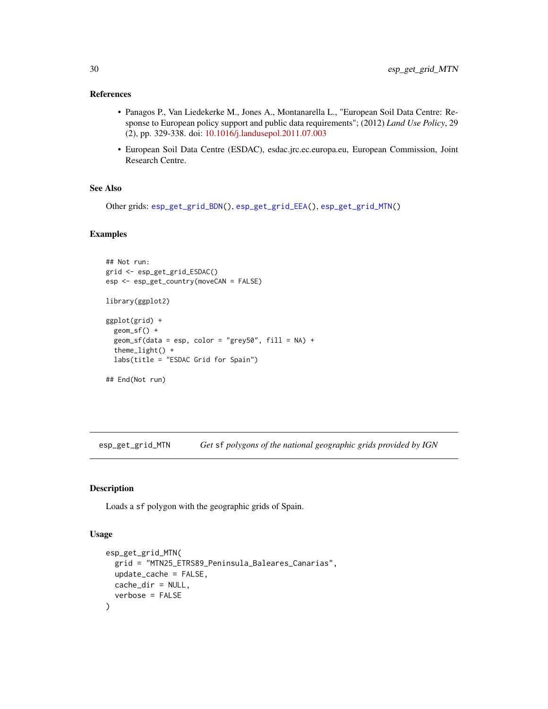#### <span id="page-29-0"></span>References

- Panagos P., Van Liedekerke M., Jones A., Montanarella L., "European Soil Data Centre: Response to European policy support and public data requirements"; (2012) *Land Use Policy*, 29 (2), pp. 329-338. doi: [10.1016/j.landusepol.2011.07.003](https://doi.org/10.1016/j.landusepol.2011.07.003)
- European Soil Data Centre (ESDAC), esdac.jrc.ec.europa.eu, European Commission, Joint Research Centre.

#### See Also

Other grids: [esp\\_get\\_grid\\_BDN\(](#page-24-1)), [esp\\_get\\_grid\\_EEA\(](#page-26-1)), [esp\\_get\\_grid\\_MTN\(](#page-29-1))

#### Examples

```
## Not run:
grid <- esp_get_grid_ESDAC()
esp <- esp_get_country(moveCAN = FALSE)
library(ggplot2)
ggplot(grid) +
  geom_sf() +
  geom_s f(data = esp, color = "grey50", fill = NA) +theme_light() +
  labs(title = "ESDAC Grid for Spain")
## End(Not run)
```
<span id="page-29-1"></span>esp\_get\_grid\_MTN *Get* sf *polygons of the national geographic grids provided by IGN*

# Description

Loads a sf polygon with the geographic grids of Spain.

#### Usage

```
esp_get_grid_MTN(
  grid = "MTN25_ETRS89_Peninsula_Baleares_Canarias",
  update_cache = FALSE,
 cache_dir = NULL,
  verbose = FALSE
)
```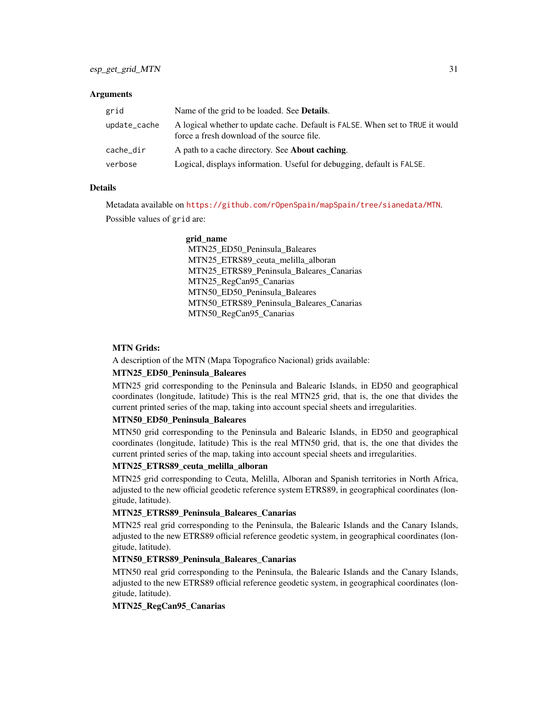#### **Arguments**

| grid         | Name of the grid to be loaded. See <b>Details</b> .                                                                          |
|--------------|------------------------------------------------------------------------------------------------------------------------------|
| update_cache | A logical whether to update cache. Default is FALSE. When set to TRUE it would<br>force a fresh download of the source file. |
| cache_dir    | A path to a cache directory. See <b>About caching</b> .                                                                      |
| verbose      | Logical, displays information. Useful for debugging, default is FALSE.                                                       |

# Details

Metadata available on <https://github.com/rOpenSpain/mapSpain/tree/sianedata/MTN>.

Possible values of grid are:

#### grid\_name

MTN25\_ED50\_Peninsula\_Baleares MTN25\_ETRS89\_ceuta\_melilla\_alboran MTN25\_ETRS89\_Peninsula\_Baleares\_Canarias MTN25\_RegCan95\_Canarias MTN50\_ED50\_Peninsula\_Baleares MTN50\_ETRS89\_Peninsula\_Baleares\_Canarias MTN50\_RegCan95\_Canarias

#### MTN Grids:

A description of the MTN (Mapa Topografico Nacional) grids available:

# MTN25\_ED50\_Peninsula\_Baleares

MTN25 grid corresponding to the Peninsula and Balearic Islands, in ED50 and geographical coordinates (longitude, latitude) This is the real MTN25 grid, that is, the one that divides the current printed series of the map, taking into account special sheets and irregularities.

# MTN50\_ED50\_Peninsula\_Baleares

MTN50 grid corresponding to the Peninsula and Balearic Islands, in ED50 and geographical coordinates (longitude, latitude) This is the real MTN50 grid, that is, the one that divides the current printed series of the map, taking into account special sheets and irregularities.

#### MTN25\_ETRS89\_ceuta\_melilla\_alboran

MTN25 grid corresponding to Ceuta, Melilla, Alboran and Spanish territories in North Africa, adjusted to the new official geodetic reference system ETRS89, in geographical coordinates (longitude, latitude).

#### MTN25\_ETRS89\_Peninsula\_Baleares\_Canarias

MTN25 real grid corresponding to the Peninsula, the Balearic Islands and the Canary Islands, adjusted to the new ETRS89 official reference geodetic system, in geographical coordinates (longitude, latitude).

# MTN50\_ETRS89\_Peninsula\_Baleares\_Canarias

MTN50 real grid corresponding to the Peninsula, the Balearic Islands and the Canary Islands, adjusted to the new ETRS89 official reference geodetic system, in geographical coordinates (longitude, latitude).

# MTN25\_RegCan95\_Canarias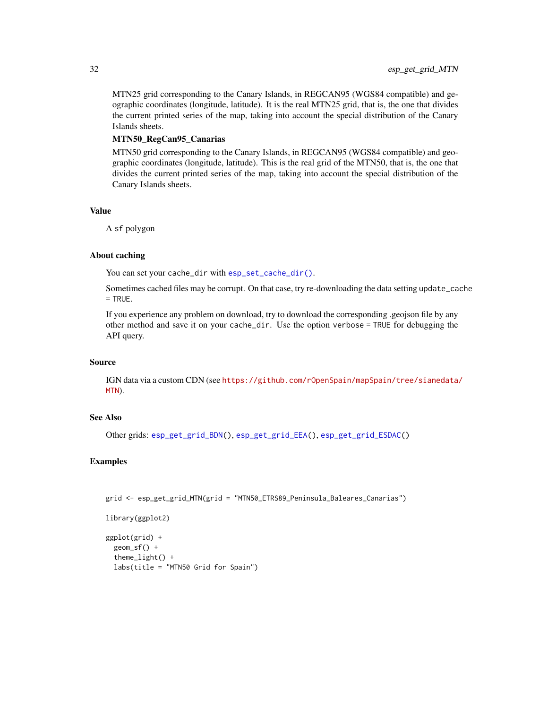<span id="page-31-0"></span>MTN25 grid corresponding to the Canary Islands, in REGCAN95 (WGS84 compatible) and geographic coordinates (longitude, latitude). It is the real MTN25 grid, that is, the one that divides the current printed series of the map, taking into account the special distribution of the Canary Islands sheets.

#### MTN50\_RegCan95\_Canarias

MTN50 grid corresponding to the Canary Islands, in REGCAN95 (WGS84 compatible) and geographic coordinates (longitude, latitude). This is the real grid of the MTN50, that is, the one that divides the current printed series of the map, taking into account the special distribution of the Canary Islands sheets.

#### Value

A sf polygon

#### About caching

You can set your cache\_dir with [esp\\_set\\_cache\\_dir\(\)](#page-55-1).

Sometimes cached files may be corrupt. On that case, try re-downloading the data setting update\_cache = TRUE.

If you experience any problem on download, try to download the corresponding .geojson file by any other method and save it on your cache\_dir. Use the option verbose = TRUE for debugging the API query.

#### Source

IGN data via a custom CDN (see [https://github.com/rOpenSpain/mapSpain/tree/sianedata/](https://github.com/rOpenSpain/mapSpain/tree/sianedata/MTN) [MTN](https://github.com/rOpenSpain/mapSpain/tree/sianedata/MTN)).

#### See Also

Other grids: [esp\\_get\\_grid\\_BDN\(](#page-24-1)), [esp\\_get\\_grid\\_EEA\(](#page-26-1)), [esp\\_get\\_grid\\_ESDAC\(](#page-28-1))

#### Examples

```
grid <- esp_get_grid_MTN(grid = "MTN50_ETRS89_Peninsula_Baleares_Canarias")
```

```
library(ggplot2)
```

```
ggplot(grid) +
 geom_sf() +
 theme_light() +
 labs(title = "MTN50 Grid for Spain")
```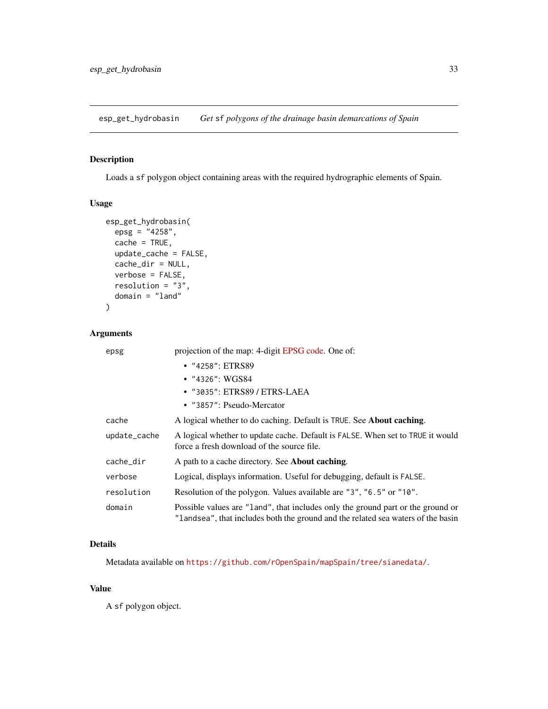<span id="page-32-1"></span><span id="page-32-0"></span>esp\_get\_hydrobasin *Get* sf *polygons of the drainage basin demarcations of Spain*

# Description

Loads a sf polygon object containing areas with the required hydrographic elements of Spain.

# Usage

```
esp_get_hydrobasin(
 epsg = "4258",cache = TRUE,
 update_cache = FALSE,
  cache_dir = NULL,
 verbose = FALSE,
 resolution = "3",
  domain = "land"
\mathcal{L}
```
# Arguments

| epsg         | projection of the map: 4-digit EPSG code. One of:                                                                                                                   |
|--------------|---------------------------------------------------------------------------------------------------------------------------------------------------------------------|
|              | • "4258": ETRS89                                                                                                                                                    |
|              | $\bullet$ "4326": WGS84                                                                                                                                             |
|              | • "3035": ETRS89 / ETRS-LAEA                                                                                                                                        |
|              | • $"3857"$ : Pseudo-Mercator                                                                                                                                        |
| cache        | A logical whether to do caching. Default is TRUE. See <b>About caching</b> .                                                                                        |
| update_cache | A logical whether to update cache. Default is FALSE. When set to TRUE it would<br>force a fresh download of the source file.                                        |
| cache_dir    | A path to a cache directory. See <b>About caching</b> .                                                                                                             |
| verbose      | Logical, displays information. Useful for debugging, default is FALSE.                                                                                              |
| resolution   | Resolution of the polygon. Values available are "3", "6.5" or "10".                                                                                                 |
| domain       | Possible values are "land", that includes only the ground part or the ground or<br>"landsea", that includes both the ground and the related sea waters of the basin |

#### Details

Metadata available on <https://github.com/rOpenSpain/mapSpain/tree/sianedata/>.

#### Value

A sf polygon object.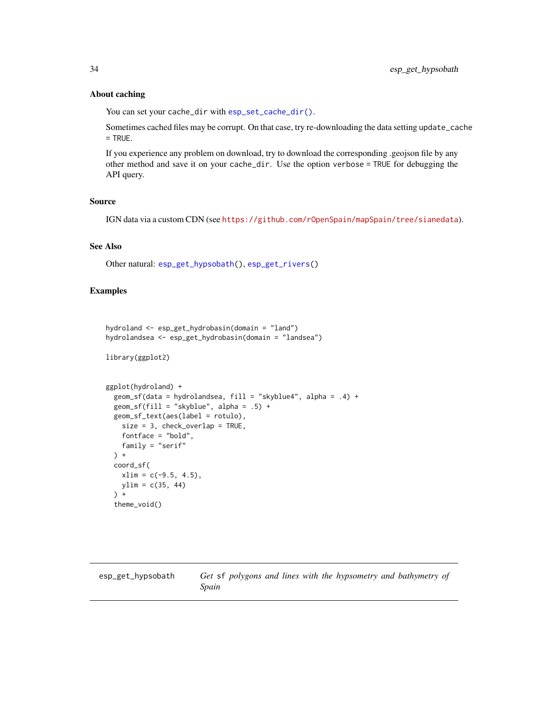#### About caching

You can set your cache\_dir with [esp\\_set\\_cache\\_dir\(\)](#page-55-1).

Sometimes cached files may be corrupt. On that case, try re-downloading the data setting update\_cache  $=$  TRUE.

If you experience any problem on download, try to download the corresponding .geojson file by any other method and save it on your cache\_dir. Use the option verbose = TRUE for debugging the API query.

# Source

IGN data via a custom CDN (see <https://github.com/rOpenSpain/mapSpain/tree/sianedata>).

# See Also

Other natural: [esp\\_get\\_hypsobath\(](#page-33-1)), [esp\\_get\\_rivers\(](#page-48-1))

# Examples

```
hydroland <- esp_get_hydrobasin(domain = "land")
hydrolandsea <- esp_get_hydrobasin(domain = "landsea")
```

```
library(ggplot2)
```

```
ggplot(hydroland) +
 geom_sf(data = hydrolandsea, fill = "skyblue4", alpha = .4) +
 geom_sfffill = "skyblue", alpha = .5) +geom_sf_text(aes(label = rotulo),
   size = 3, check_overlap = TRUE,
   fontface = "bold",
   family = "serif"
 ) +coord_sf(
   xlim = c(-9.5, 4.5),
   ylim = c(35, 44)\rightarrow +
 theme_void()
```
<span id="page-33-1"></span>

<span id="page-33-0"></span>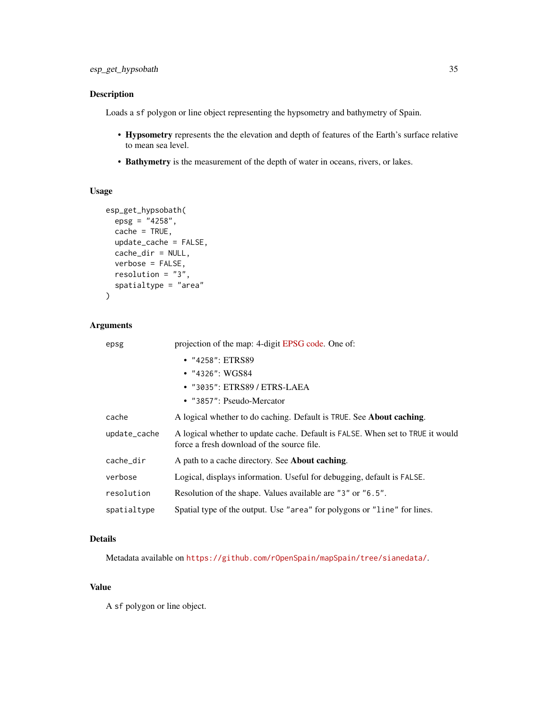# Description

Loads a sf polygon or line object representing the hypsometry and bathymetry of Spain.

- Hypsometry represents the the elevation and depth of features of the Earth's surface relative to mean sea level.
- Bathymetry is the measurement of the depth of water in oceans, rivers, or lakes.

# Usage

```
esp_get_hypsobath(
 epsg = "4258",
 cache = TRUE,update_cache = FALSE,
 cache_dir = NULL,
 verbose = FALSE,
 resolution = "3",
  spatialtype = "area"
)
```
# Arguments

| epsg         | projection of the map: 4-digit EPSG code. One of:                                                                            |
|--------------|------------------------------------------------------------------------------------------------------------------------------|
|              | • "4258": ETRS89                                                                                                             |
|              | • $"4326"$ : WGS84                                                                                                           |
|              | • "3035": ETRS89 / ETRS-LAEA                                                                                                 |
|              | • "3857": Pseudo-Mercator                                                                                                    |
| cache        | A logical whether to do caching. Default is TRUE. See <b>About caching</b> .                                                 |
| update_cache | A logical whether to update cache. Default is FALSE. When set to TRUE it would<br>force a fresh download of the source file. |
| cache_dir    | A path to a cache directory. See <b>About caching</b> .                                                                      |
| verbose      | Logical, displays information. Useful for debugging, default is FALSE.                                                       |
| resolution   | Resolution of the shape. Values available are "3" or "6.5".                                                                  |
| spatialtype  | Spatial type of the output. Use "area" for polygons or "line" for lines.                                                     |

# Details

Metadata available on <https://github.com/rOpenSpain/mapSpain/tree/sianedata/>.

# Value

A sf polygon or line object.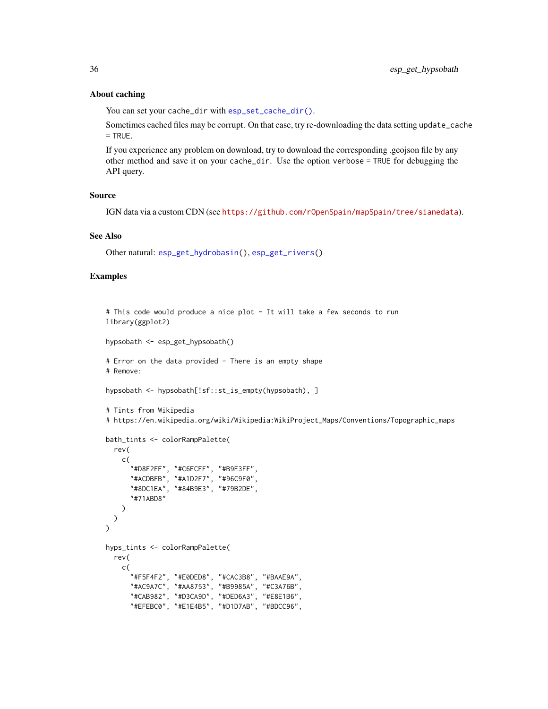#### About caching

You can set your cache\_dir with [esp\\_set\\_cache\\_dir\(\)](#page-55-1).

Sometimes cached files may be corrupt. On that case, try re-downloading the data setting update\_cache = TRUE.

If you experience any problem on download, try to download the corresponding .geojson file by any other method and save it on your cache\_dir. Use the option verbose = TRUE for debugging the API query.

#### Source

IGN data via a custom CDN (see <https://github.com/rOpenSpain/mapSpain/tree/sianedata>).

# See Also

Other natural: [esp\\_get\\_hydrobasin\(](#page-32-1)), [esp\\_get\\_rivers\(](#page-48-1))

#### Examples

```
# This code would produce a nice plot - It will take a few seconds to run
library(ggplot2)
hypsobath <- esp_get_hypsobath()
# Error on the data provided - There is an empty shape
# Remove:
hypsobath <- hypsobath[!sf::st_is_empty(hypsobath), ]
# Tints from Wikipedia
# https://en.wikipedia.org/wiki/Wikipedia:WikiProject_Maps/Conventions/Topographic_maps
bath_tints <- colorRampPalette(
  rev(
   c(
      "#D8F2FE", "#C6ECFF", "#B9E3FF",
      "#ACDBFB", "#A1D2F7", "#96C9F0",
      "#8DC1EA", "#84B9E3", "#79B2DE",
      "#71ABD8"
   )
 )
\mathcal{L}hyps_tints <- colorRampPalette(
  rev(
    c(
      "#F5F4F2", "#E0DED8", "#CAC3B8", "#BAAE9A",
      "#AC9A7C", "#AA8753", "#B9985A", "#C3A76B",
      "#CAB982", "#D3CA9D", "#DED6A3", "#E8E1B6",
      "#EFEBC0", "#E1E4B5", "#D1D7AB", "#BDCC96",
```
<span id="page-35-0"></span>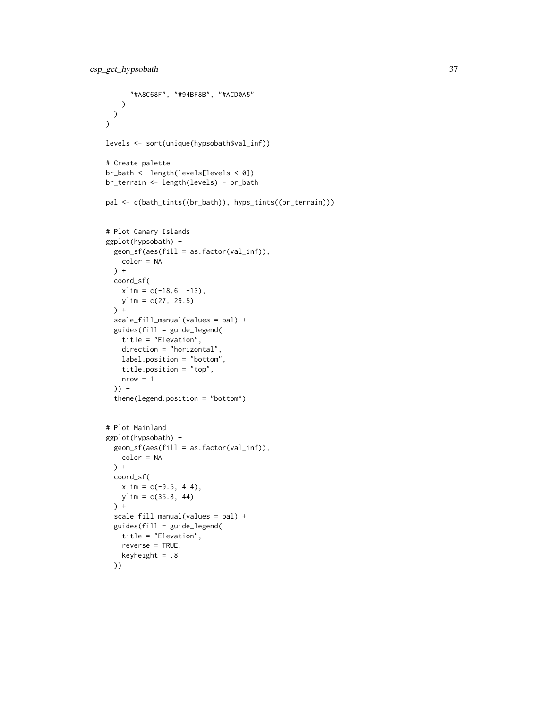```
"#A8C68F", "#94BF8B", "#ACD0A5"
   )
 )
\lambdalevels <- sort(unique(hypsobath$val_inf))
# Create palette
br_bath <- length(levels[levels < 0])
br_terrain <- length(levels) - br_bath
pal <- c(bath_tints((br_bath)), hyps_tints((br_terrain)))
# Plot Canary Islands
ggplot(hypsobath) +
  geom_sf(aes(fill = as.factor(val_inf)),
   color = NA
 ) +
  coord_sf(
   xlim = c(-18.6, -13),
   ylim = c(27, 29.5)
  ) +scale_fill_manual(values = pal) +
  guides(fill = guide_legend(
   title = "Elevation",
   direction = "horizontal",
   label.position = "bottom",
    title.position = "top",
   nrow = 1)) +
  theme(legend.position = "bottom")
# Plot Mainland
ggplot(hypsobath) +
  geom_sf(aes(fill = as.factor(val_inf)),
   color = NA
  ) +
  coord_sf(
   xlim = c(-9.5, 4.4),ylim = c(35.8, 44)
  ) +
  scale_fill_manual(values = pal) +
  guides(fill = guide_legend(
   title = "Elevation",
   reverse = TRUE,
   keyheight = .8))
```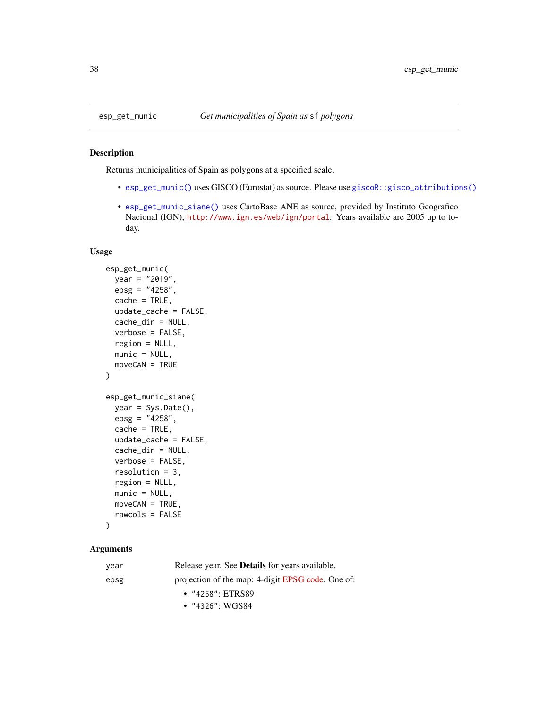# <span id="page-37-2"></span>Description

Returns municipalities of Spain as polygons at a specified scale.

- [esp\\_get\\_munic\(\)](#page-37-1) uses GISCO (Eurostat) as source. Please use [giscoR::gisco\\_attributions\(\)](#page-0-0)
- [esp\\_get\\_munic\\_siane\(\)](#page-37-2) uses CartoBase ANE as source, provided by Instituto Geografico Nacional (IGN), <http://www.ign.es/web/ign/portal>. Years available are 2005 up to today.

# Usage

```
esp_get_munic(
 year = "2019",
 epsg = "4258",
 cache = TRUE,update_cache = FALSE,
 cache_dir = NULL,
 verbose = FALSE,
  region = NULL,
 munic = NULL,
 moveCAN = TRUE
)
esp_get_munic_siane(
 year = Sys.Date(),
 epsg = "4258",
 cache = TRUE,update_cache = FALSE,
  cache_dir = NULL,
 verbose = FALSE,
  resolution = 3,
  region = NULL,
 munic = NULL,
 moveCAN = TRUE,
  rawcols = FALSE
)
```
# Arguments

| year | Release year. See <b>Details</b> for years available. |
|------|-------------------------------------------------------|
| epsg | projection of the map: 4-digit EPSG code. One of:     |
|      | $\cdot$ "4258": ETRS89                                |
|      | • $"4326"$ : WGS84                                    |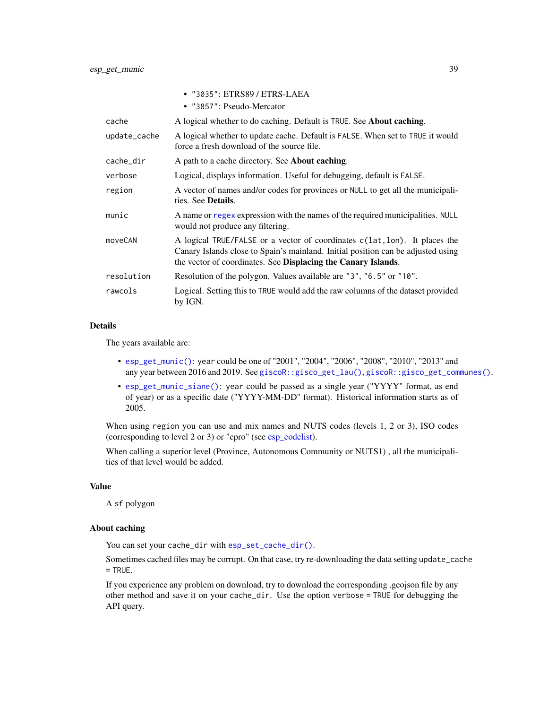<span id="page-38-0"></span>

|              | • "3035": ETRS89 / ETRS-LAEA<br>• "3857": Pseudo-Mercator                                                                                                                                                                       |
|--------------|---------------------------------------------------------------------------------------------------------------------------------------------------------------------------------------------------------------------------------|
| cache        | A logical whether to do caching. Default is TRUE. See About caching.                                                                                                                                                            |
| update_cache | A logical whether to update cache. Default is FALSE. When set to TRUE it would<br>force a fresh download of the source file.                                                                                                    |
| cache_dir    | A path to a cache directory. See About caching.                                                                                                                                                                                 |
| verbose      | Logical, displays information. Useful for debugging, default is FALSE.                                                                                                                                                          |
| region       | A vector of names and/or codes for provinces or NULL to get all the municipali-<br>ties. See <b>Details</b> .                                                                                                                   |
| munic        | A name or regex expression with the names of the required municipalities. NULL<br>would not produce any filtering.                                                                                                              |
| moveCAN      | A logical TRUE/FALSE or a vector of coordinates c(lat, lon). It places the<br>Canary Islands close to Spain's mainland. Initial position can be adjusted using<br>the vector of coordinates. See Displacing the Canary Islands. |
| resolution   | Resolution of the polygon. Values available are "3", "6.5" or "10".                                                                                                                                                             |
| rawcols      | Logical. Setting this to TRUE would add the raw columns of the dataset provided<br>by IGN.                                                                                                                                      |

#### Details

The years available are:

- [esp\\_get\\_munic\(\)](#page-37-1): year could be one of "2001", "2004", "2006", "2008", "2010", "2013" and any year between 2016 and 2019. See [giscoR::gisco\\_get\\_lau\(\)](#page-0-0), [giscoR::gisco\\_get\\_communes\(\)](#page-0-0).
- [esp\\_get\\_munic\\_siane\(\)](#page-37-2): year could be passed as a single year ("YYYY" format, as end of year) or as a specific date ("YYYY-MM-DD" format). Historical information starts as of 2005.

When using region you can use and mix names and NUTS codes (levels 1, 2 or 3), ISO codes (corresponding to level 2 or 3) or "cpro" (see [esp\\_codelist\)](#page-6-1).

When calling a superior level (Province, Autonomous Community or NUTS1) , all the municipalities of that level would be added.

# Value

A sf polygon

#### About caching

You can set your cache\_dir with [esp\\_set\\_cache\\_dir\(\)](#page-55-1).

Sometimes cached files may be corrupt. On that case, try re-downloading the data setting update\_cache  $=$  TRUE.

If you experience any problem on download, try to download the corresponding .geojson file by any other method and save it on your cache\_dir. Use the option verbose = TRUE for debugging the API query.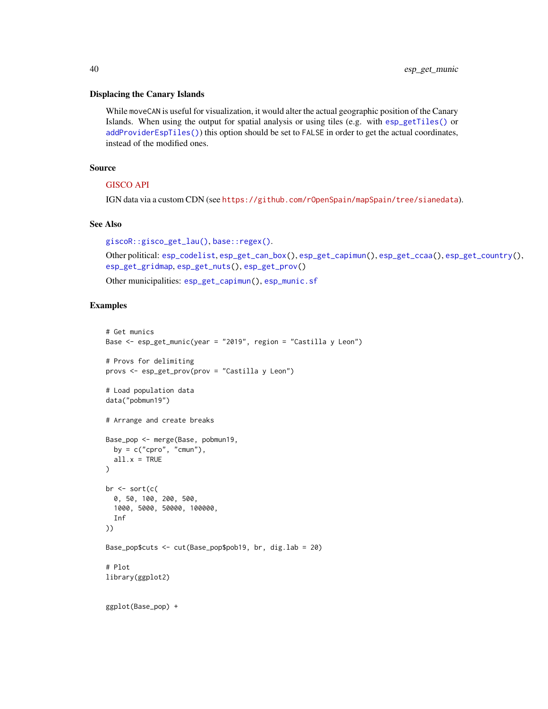#### <span id="page-39-0"></span>Displacing the Canary Islands

While moveCAN is useful for visualization, it would alter the actual geographic position of the Canary Islands. When using the output for spatial analysis or using tiles (e.g. with [esp\\_getTiles\(\)](#page-9-1) or [addProviderEspTiles\(\)](#page-3-2)) this option should be set to FALSE in order to get the actual coordinates, instead of the modified ones.

#### Source

# [GISCO API](https://gisco-services.ec.europa.eu/distribution/v2/)

IGN data via a custom CDN (see <https://github.com/rOpenSpain/mapSpain/tree/sianedata>).

#### See Also

```
giscoR::gisco_get_lau(), base::regex().
```

```
Other political: esp_codelist, esp_get_can_box(), esp_get_capimun(), esp_get_ccaa(), esp_get_country(),
esp_get_gridmap, esp_get_nuts(), esp_get_prov()
```
Other municipalities: [esp\\_get\\_capimun\(](#page-14-1)), [esp\\_munic.sf](#page-52-1)

# Examples

```
# Get munics
Base <- esp_get_munic(year = "2019", region = "Castilla y Leon")
# Provs for delimiting
provs <- esp_get_prov(prov = "Castilla y Leon")
# Load population data
data("pobmun19")
# Arrange and create breaks
Base_pop <- merge(Base, pobmun19,
  by = c("cpro", "cmun"),all.x = TRUE)
br \le sort(c(
  0, 50, 100, 200, 500,
  1000, 5000, 50000, 100000,
  Inf
))
Base_pop$cuts <- cut(Base_pop$pob19, br, dig.lab = 20)
# Plot
library(ggplot2)
ggplot(Base_pop) +
```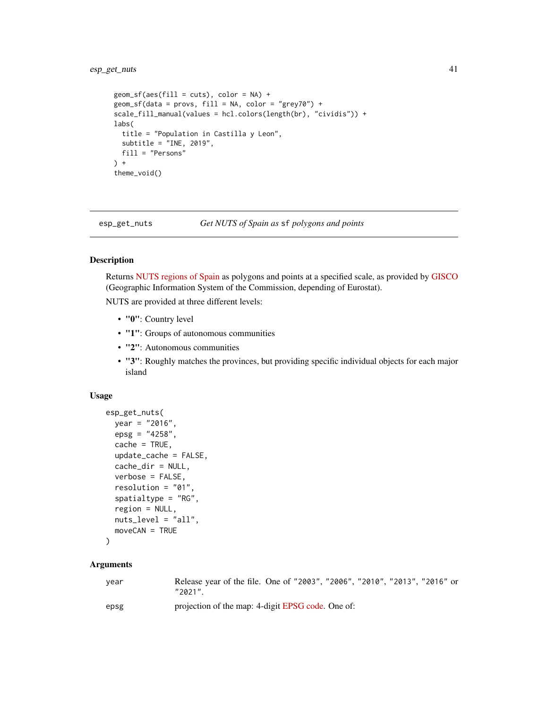# <span id="page-40-0"></span>esp\_get\_nuts 41

```
geom_s f(aes(fill = cuts), color = NA) +geom_sf(data = provs, fill = NA, color = "grey70") +
scale_fill_manual(values = hcl.colors(length(br), "cividis")) +
labs(
 title = "Population in Castilla y Leon",
 subtitle = "INE, 2019",
 fill = "Persons"
) +
theme_void()
```
<span id="page-40-1"></span>

esp\_get\_nuts *Get NUTS of Spain as* sf *polygons and points*

# Description

Returns [NUTS regions of Spain](https://en.wikipedia.org/wiki/NUTS_statistical_regions_of_Spain) as polygons and points at a specified scale, as provided by [GISCO](https://ec.europa.eu/eurostat/web/gisco) (Geographic Information System of the Commission, depending of Eurostat).

NUTS are provided at three different levels:

- "0": Country level
- "1": Groups of autonomous communities
- "2": Autonomous communities
- "3": Roughly matches the provinces, but providing specific individual objects for each major island

# Usage

```
esp_get_nuts(
 year = "2016",
 epsg = "4258",
 cache = TRUE,update_cache = FALSE,
  cache_dir = NULL,
  verbose = FALSE,
  resolution = "01",
  spatialtype = "RG",
  region = NULL,
 nuts_level = "all",
 moveCAN = TRUE
\lambda
```
#### Arguments

| vear | Release year of the file. One of "2003", "2006", "2010", "2013", "2016" or<br>"2021". |
|------|---------------------------------------------------------------------------------------|
| epsg | projection of the map: 4-digit EPSG code. One of:                                     |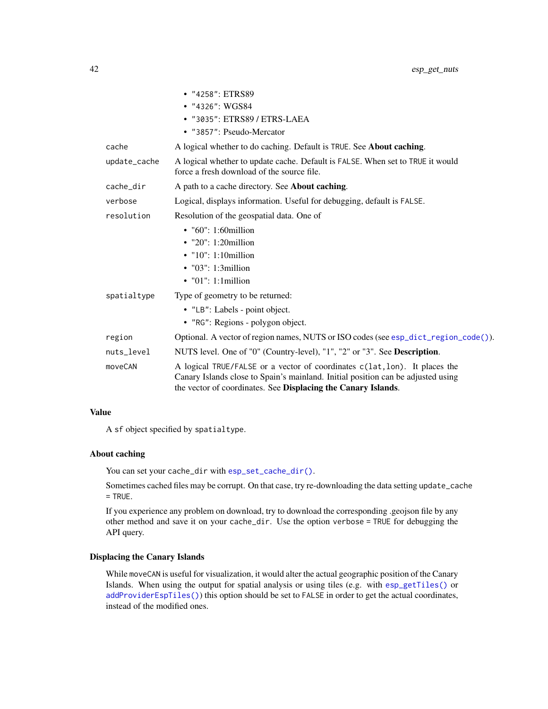<span id="page-41-0"></span>

|              | • "4258": ETRS89                                                                                                                                                                                                                |
|--------------|---------------------------------------------------------------------------------------------------------------------------------------------------------------------------------------------------------------------------------|
|              | • $"4326"$ : WGS84                                                                                                                                                                                                              |
|              | • "3035": ETRS89 / ETRS-LAEA                                                                                                                                                                                                    |
|              | • "3857": Pseudo-Mercator                                                                                                                                                                                                       |
| cache        | A logical whether to do caching. Default is TRUE. See <b>About caching</b> .                                                                                                                                                    |
| update_cache | A logical whether to update cache. Default is FALSE. When set to TRUE it would<br>force a fresh download of the source file.                                                                                                    |
| cache_dir    | A path to a cache directory. See <b>About caching</b> .                                                                                                                                                                         |
| verbose      | Logical, displays information. Useful for debugging, default is FALSE.                                                                                                                                                          |
| resolution   | Resolution of the geospatial data. One of                                                                                                                                                                                       |
|              | $\cdot$ "60": 1:60 million                                                                                                                                                                                                      |
|              | $\cdot$ "20": 1:20 million                                                                                                                                                                                                      |
|              | $\bullet$ "10": 1:10million                                                                                                                                                                                                     |
|              | $\bullet$ "03": 1:3 million                                                                                                                                                                                                     |
|              | $\bullet$ "01": 1:1 million                                                                                                                                                                                                     |
| spatialtype  | Type of geometry to be returned:                                                                                                                                                                                                |
|              | • "LB": Labels - point object.                                                                                                                                                                                                  |
|              | • "RG": Regions - polygon object.                                                                                                                                                                                               |
| region       | Optional. A vector of region names, NUTS or ISO codes (see esp_dict_region_code()).                                                                                                                                             |
| nuts_level   | NUTS level. One of "0" (Country-level), "1", "2" or "3". See Description.                                                                                                                                                       |
| moveCAN      | A logical TRUE/FALSE or a vector of coordinates c(lat, lon). It places the<br>Canary Islands close to Spain's mainland. Initial position can be adjusted using<br>the vector of coordinates. See Displacing the Canary Islands. |

# Value

A sf object specified by spatialtype.

# About caching

You can set your cache\_dir with [esp\\_set\\_cache\\_dir\(\)](#page-55-1).

Sometimes cached files may be corrupt. On that case, try re-downloading the data setting update\_cache  $=$  TRUE.

If you experience any problem on download, try to download the corresponding .geojson file by any other method and save it on your cache\_dir. Use the option verbose = TRUE for debugging the API query.

# Displacing the Canary Islands

While moveCAN is useful for visualization, it would alter the actual geographic position of the Canary Islands. When using the output for spatial analysis or using tiles (e.g. with [esp\\_getTiles\(\)](#page-9-1) or [addProviderEspTiles\(\)](#page-3-2)) this option should be set to FALSE in order to get the actual coordinates, instead of the modified ones.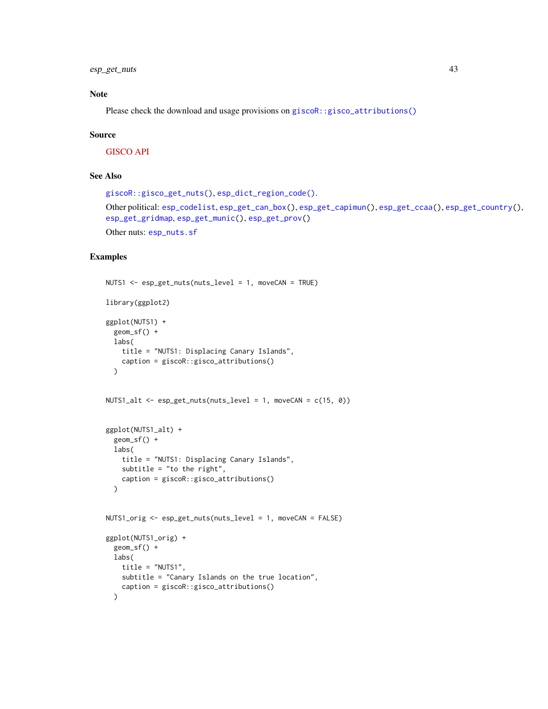<span id="page-42-0"></span>esp\_get\_nuts 43

# Note

Please check the download and usage provisions on [giscoR::gisco\\_attributions\(\)](#page-0-0)

#### Source

[GISCO API](https://gisco-services.ec.europa.eu/distribution/v2/)

# See Also

```
giscoR::gisco_get_nuts(), esp_dict_region_code().
Other political: esp_codelist, esp_get_can_box(), esp_get_capimun(), esp_get_ccaa(), esp_get_country(),
esp_get_gridmap, esp_get_munic(), esp_get_prov()
Other nuts: esp_nuts.sf
```
# Examples

```
NUTS1 <- esp_get_nuts(nuts_level = 1, moveCAN = TRUE)
library(ggplot2)
ggplot(NUTS1) +
 geom_sf() +
 labs(
   title = "NUTS1: Displacing Canary Islands",
   caption = giscoR::gisco_attributions()
  \lambdaNUTS1_alt <- esp_get_nuts(nuts_level = 1, moveCAN = c(15, 0))
ggplot(NUTS1_alt) +
  geom_sf() +
  labs(
    title = "NUTS1: Displacing Canary Islands",
   subtitle = "to the right",
   caption = giscoR::gisco_attributions()
  )
NUTS1_orig <- esp_get_nuts(nuts_level = 1, moveCAN = FALSE)
ggplot(NUTS1_orig) +
  geom_sf() +
  labs(
    title = "NUTS1",
   subtitle = "Canary Islands on the true location",
   caption = giscoR::gisco_attributions()
  )
```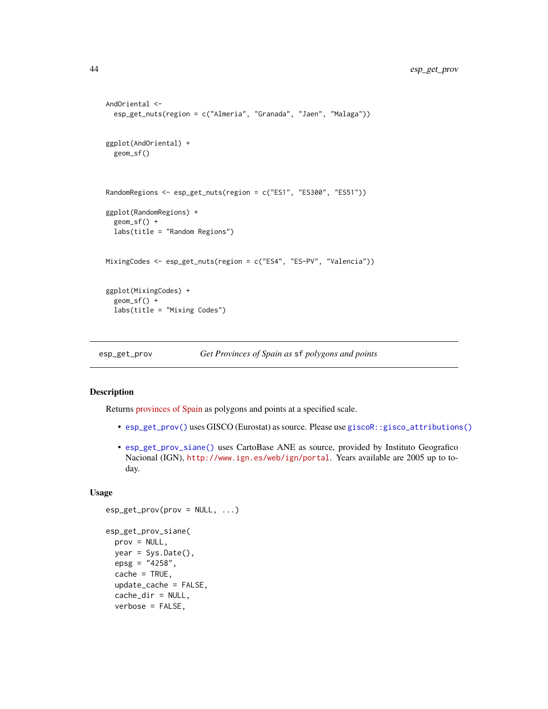```
AndOriental <-
 esp_get_nuts(region = c("Almeria", "Granada", "Jaen", "Malaga"))
ggplot(AndOriental) +
 geom_sf()
RandomRegions <- esp_get_nuts(region = c("ES1", "ES300", "ES51"))
ggplot(RandomRegions) +
 geom_sf() +
 labs(title = "Random Regions")
MixingCodes <- esp_get_nuts(region = c("ES4", "ES-PV", "Valencia"))
ggplot(MixingCodes) +
 geom_sf() +
 labs(title = "Mixing Codes")
```
<span id="page-43-1"></span>esp\_get\_prov *Get Provinces of Spain as* sf *polygons and points*

# <span id="page-43-2"></span>Description

Returns [provinces of Spain](https://en.wikipedia.org/wiki/Provinces_of_Spain) as polygons and points at a specified scale.

- [esp\\_get\\_prov\(\)](#page-43-1) uses GISCO (Eurostat) as source. Please use [giscoR::gisco\\_attributions\(\)](#page-0-0)
- [esp\\_get\\_prov\\_siane\(\)](#page-43-2) uses CartoBase ANE as source, provided by Instituto Geografico Nacional (IGN), <http://www.ign.es/web/ign/portal>. Years available are 2005 up to today.

# Usage

```
esp_get_prov(prov = NULL, ...)
esp_get_prov_siane(
 prov = NULL,
 year = Sys.Date(),
 epsg = "4258",cache = TRUE,update_cache = FALSE,
  cache_dir = NULL,
 verbose = FALSE,
```
<span id="page-43-0"></span>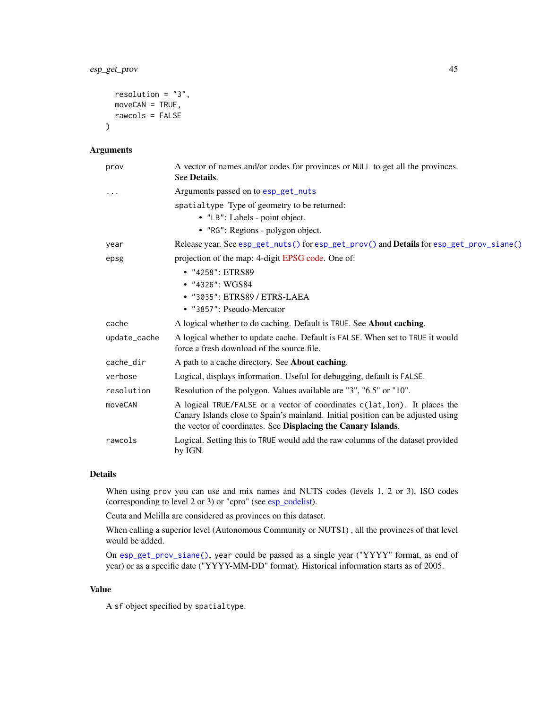```
resolution = "3",
  moveCAN = TRUE,rawcols = FALSE
\mathcal{L}
```
# Arguments

| prov         | A vector of names and/or codes for provinces or NULL to get all the provinces.<br>See Details.                                                                                                                                  |
|--------------|---------------------------------------------------------------------------------------------------------------------------------------------------------------------------------------------------------------------------------|
| $\cdots$     | Arguments passed on to esp_get_nuts                                                                                                                                                                                             |
|              | spatialtype Type of geometry to be returned:<br>• "LB": Labels - point object.<br>• "RG": Regions - polygon object.                                                                                                             |
| year         | Release year. See esp_get_nuts() for esp_get_prov() and Details for esp_get_prov_siane()                                                                                                                                        |
| epsg         | projection of the map: 4-digit EPSG code. One of:                                                                                                                                                                               |
|              | • "4258": ETRS89                                                                                                                                                                                                                |
|              | • "4326": WGS84                                                                                                                                                                                                                 |
|              | • "3035": ETRS89 / ETRS-LAEA                                                                                                                                                                                                    |
|              | • "3857": Pseudo-Mercator                                                                                                                                                                                                       |
| cache        | A logical whether to do caching. Default is TRUE. See About caching.                                                                                                                                                            |
| update_cache | A logical whether to update cache. Default is FALSE. When set to TRUE it would<br>force a fresh download of the source file.                                                                                                    |
| cache dir    | A path to a cache directory. See <b>About caching</b> .                                                                                                                                                                         |
| verbose      | Logical, displays information. Useful for debugging, default is FALSE.                                                                                                                                                          |
| resolution   | Resolution of the polygon. Values available are "3", "6.5" or "10".                                                                                                                                                             |
| moveCAN      | A logical TRUE/FALSE or a vector of coordinates c(lat, lon). It places the<br>Canary Islands close to Spain's mainland. Initial position can be adjusted using<br>the vector of coordinates. See Displacing the Canary Islands. |
| rawcols      | Logical. Setting this to TRUE would add the raw columns of the dataset provided<br>by IGN.                                                                                                                                      |

# Details

When using prov you can use and mix names and NUTS codes (levels 1, 2 or 3), ISO codes (corresponding to level 2 or 3) or "cpro" (see [esp\\_codelist\)](#page-6-1).

Ceuta and Melilla are considered as provinces on this dataset.

When calling a superior level (Autonomous Community or NUTS1) , all the provinces of that level would be added.

On [esp\\_get\\_prov\\_siane\(\)](#page-43-2), year could be passed as a single year ("YYYY" format, as end of year) or as a specific date ("YYYY-MM-DD" format). Historical information starts as of 2005.

#### Value

A sf object specified by spatialtype.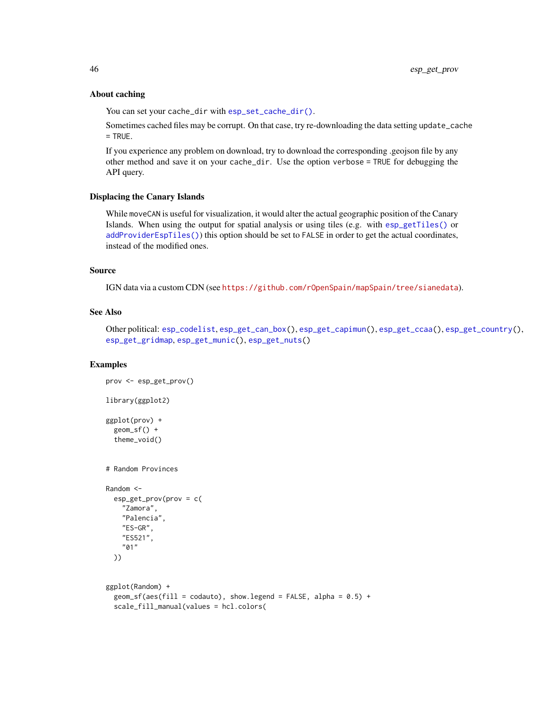#### About caching

You can set your cache\_dir with [esp\\_set\\_cache\\_dir\(\)](#page-55-1).

Sometimes cached files may be corrupt. On that case, try re-downloading the data setting update\_cache  $=$  TRUE.

If you experience any problem on download, try to download the corresponding .geojson file by any other method and save it on your cache\_dir. Use the option verbose = TRUE for debugging the API query.

#### Displacing the Canary Islands

While moveCAN is useful for visualization, it would alter the actual geographic position of the Canary Islands. When using the output for spatial analysis or using tiles (e.g. with [esp\\_getTiles\(\)](#page-9-1) or [addProviderEspTiles\(\)](#page-3-2)) this option should be set to FALSE in order to get the actual coordinates, instead of the modified ones.

# Source

IGN data via a custom CDN (see <https://github.com/rOpenSpain/mapSpain/tree/sianedata>).

#### See Also

Other political: [esp\\_codelist](#page-6-1), [esp\\_get\\_can\\_box\(](#page-12-1)), [esp\\_get\\_capimun\(](#page-14-1)), [esp\\_get\\_ccaa\(](#page-17-1)), [esp\\_get\\_country\(](#page-20-1)), [esp\\_get\\_gridmap](#page-22-1), [esp\\_get\\_munic\(](#page-37-1)), [esp\\_get\\_nuts\(](#page-40-1))

# Examples

```
prov <- esp_get_prov()
library(ggplot2)
ggplot(prov) +
  geom_sf() +
  theme_void()
# Random Provinces
Random <-
  esp_get_prov(prov = c(
   "Zamora",
   "Palencia",
   "ES-GR",
    "ES521",
    "01"
  ))
ggplot(Random) +
  geom_sf(aes(fill = codauto), show.legend = FALSE, alpha = 0.5) +
  scale_fill_manual(values = hcl.colors(
```
<span id="page-45-0"></span>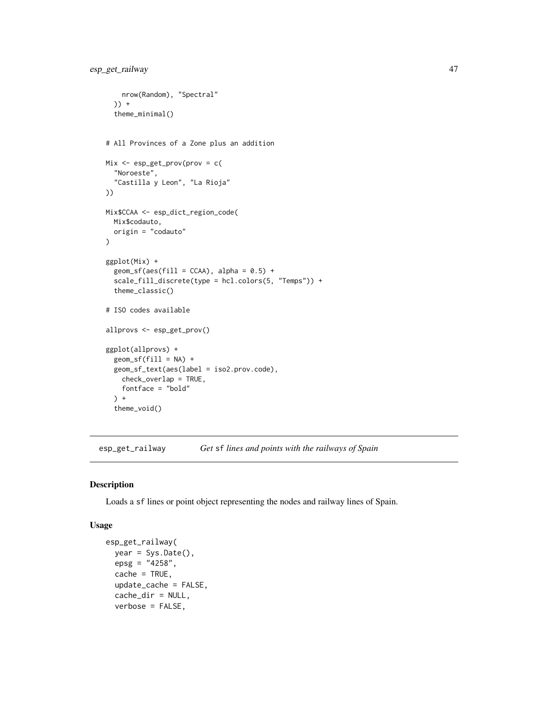```
nrow(Random), "Spectral"
  )) +
  theme_minimal()
# All Provinces of a Zone plus an addition
Mix <- esp_get_prov(prov = c(
  "Noroeste",
  "Castilla y Leon", "La Rioja"
))
Mix$CCAA <- esp_dict_region_code(
  Mix$codauto,
  origin = "codauto"
\mathcal{L}ggplot(Mix) +
  geom_s f(aes(fill = CCAA), alpha = 0.5) +scale_fill_discrete(type = hcl.colors(5, "Temps")) +
  theme_classic()
# ISO codes available
allprovs <- esp_get_prov()
ggplot(allprovs) +
  geom_sf(fill = NA) +geom_sf_text(aes(label = iso2.prov.code),
   check_overlap = TRUE,
   fontface = "bold"
  ) +theme_void()
```
<span id="page-46-1"></span>esp\_get\_railway *Get* sf *lines and points with the railways of Spain*

#### Description

Loads a sf lines or point object representing the nodes and railway lines of Spain.

#### Usage

```
esp_get_railway(
  year = Sys.DataFrame(),
  epsg = "4258",
  cache = TRUE,
  update_cache = FALSE,
  cache_dir = NULL,
  verbose = FALSE,
```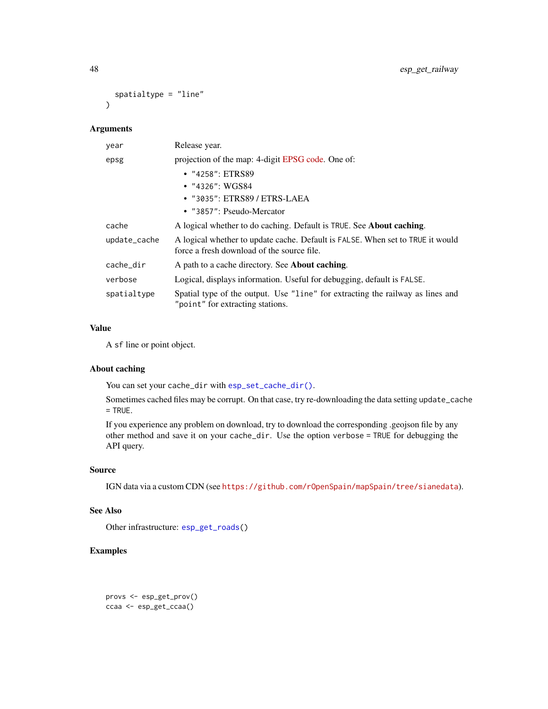```
spatialtype = "line"
\lambda
```
# Arguments

| year         | Release year.                                                                                                                |  |
|--------------|------------------------------------------------------------------------------------------------------------------------------|--|
| epsg         | projection of the map: 4-digit EPSG code. One of:                                                                            |  |
|              | • "4258": ETRS89                                                                                                             |  |
|              | $\bullet$ "4326": WGS84                                                                                                      |  |
|              | • "3035": ETRS89 / ETRS-LAEA                                                                                                 |  |
|              | • "3857": Pseudo-Mercator                                                                                                    |  |
| cache        | A logical whether to do caching. Default is TRUE. See <b>About caching</b> .                                                 |  |
| update_cache | A logical whether to update cache. Default is FALSE. When set to TRUE it would<br>force a fresh download of the source file. |  |
| cache_dir    | A path to a cache directory. See <b>About caching</b> .                                                                      |  |
| verbose      | Logical, displays information. Useful for debugging, default is FALSE.                                                       |  |
| spatialtype  | Spatial type of the output. Use "line" for extracting the railway as lines and<br>"point" for extracting stations.           |  |

# Value

A sf line or point object.

# About caching

You can set your cache\_dir with [esp\\_set\\_cache\\_dir\(\)](#page-55-1).

Sometimes cached files may be corrupt. On that case, try re-downloading the data setting update\_cache = TRUE.

If you experience any problem on download, try to download the corresponding .geojson file by any other method and save it on your cache\_dir. Use the option verbose = TRUE for debugging the API query.

# Source

IGN data via a custom CDN (see <https://github.com/rOpenSpain/mapSpain/tree/sianedata>).

#### See Also

Other infrastructure: [esp\\_get\\_roads\(](#page-50-1))

# Examples

provs <- esp\_get\_prov() ccaa <- esp\_get\_ccaa()

<span id="page-47-0"></span>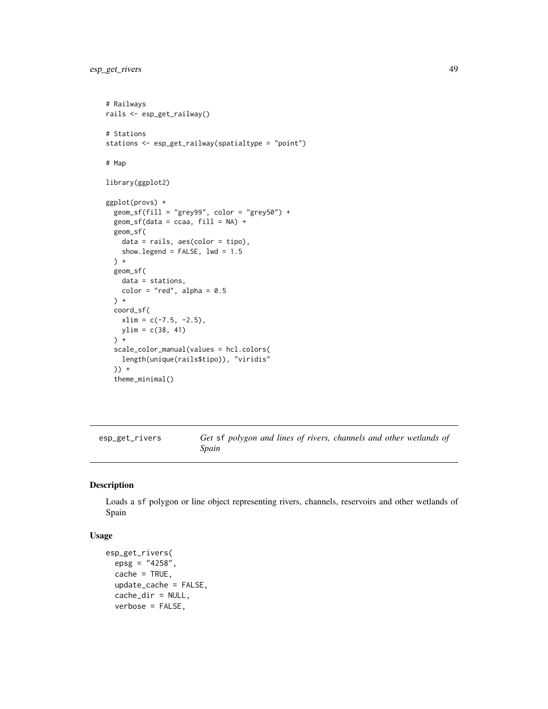```
# Railways
rails <- esp_get_railway()
# Stations
stations <- esp_get_railway(spatialtype = "point")
# Map
library(ggplot2)
ggplot(provs) +
  geom_sfffill = "grey99", color = "grey50") +geom_s f(data = ccaa, fill = NA) +geom_sf(
   data = rails, aes(color = tipo),
   show.legend = FALSE, lwd = 1.5
  ) +
  geom_sf(
   data = stations,
   color = "red", alpha = 0.5) +coord_sf(
   xlim = c(-7.5, -2.5),
   ylim = c(38, 41)
  ) +
  scale_color_manual(values = hcl.colors(
   length(unique(rails$tipo)), "viridis"
  )) +
  theme_minimal()
```
<span id="page-48-1"></span>esp\_get\_rivers *Get* sf *polygon and lines of rivers, channels and other wetlands of Spain*

#### Description

Loads a sf polygon or line object representing rivers, channels, reservoirs and other wetlands of Spain

#### Usage

```
esp_get_rivers(
 epsg = "4258",cache = TRUE,
 update_cache = FALSE,
  cache_dir = NULL,
 verbose = FALSE,
```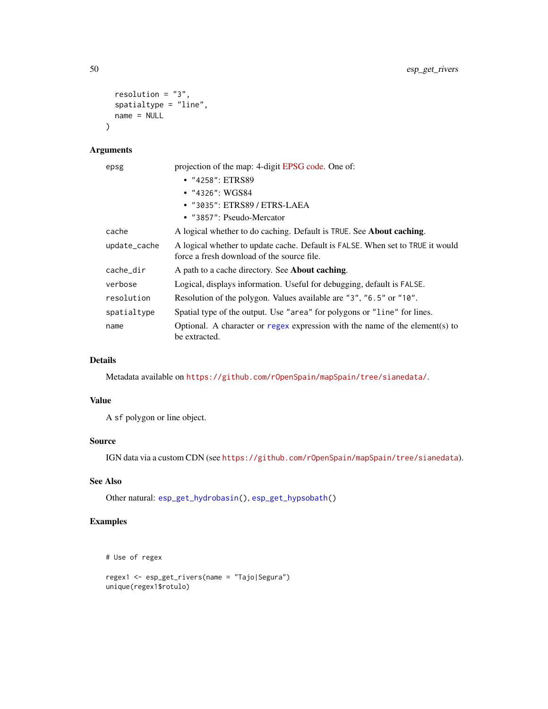```
resolution = "3",spatialtype = "line",
  name = NULL
\mathcal{L}
```
# Arguments

| epsg         | projection of the map: 4-digit EPSG code. One of:                                                                            |
|--------------|------------------------------------------------------------------------------------------------------------------------------|
|              | $\cdot$ "4258": ETRS89                                                                                                       |
|              | $\bullet$ "4326": WGS84                                                                                                      |
|              | • "3035": ETRS89 / ETRS-LAEA                                                                                                 |
|              | • "3857": Pseudo-Mercator                                                                                                    |
| cache        | A logical whether to do caching. Default is TRUE. See <b>About caching</b> .                                                 |
| update_cache | A logical whether to update cache. Default is FALSE. When set to TRUE it would<br>force a fresh download of the source file. |
| cache_dir    | A path to a cache directory. See About caching.                                                                              |
| verbose      | Logical, displays information. Useful for debugging, default is FALSE.                                                       |
| resolution   | Resolution of the polygon. Values available are "3", "6.5" or "10".                                                          |
| spatialtype  | Spatial type of the output. Use "area" for polygons or "line" for lines.                                                     |
| name         | Optional. A character or regex expression with the name of the element(s) to<br>be extracted.                                |

# Details

Metadata available on <https://github.com/rOpenSpain/mapSpain/tree/sianedata/>.

# Value

A sf polygon or line object.

# Source

IGN data via a custom CDN (see <https://github.com/rOpenSpain/mapSpain/tree/sianedata>).

# See Also

Other natural: [esp\\_get\\_hydrobasin\(](#page-32-1)), [esp\\_get\\_hypsobath\(](#page-33-1))

# Examples

```
# Use of regex
```

```
regex1 <- esp_get_rivers(name = "Tajo|Segura")
unique(regex1$rotulo)
```
<span id="page-49-0"></span>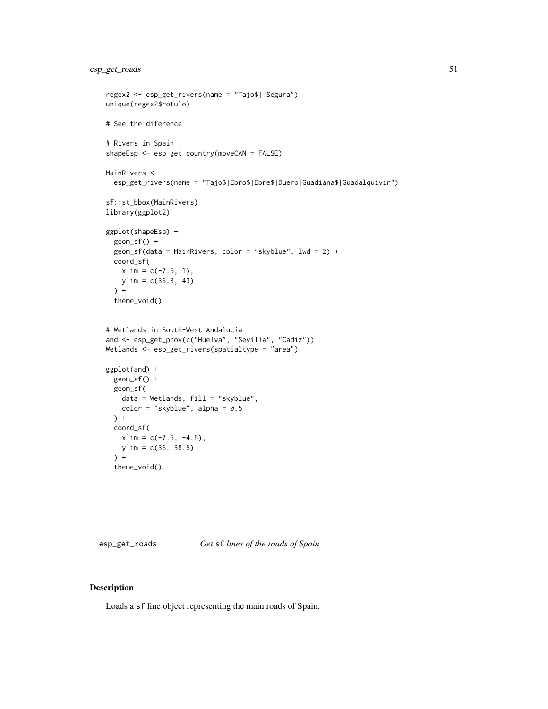```
regex2 <- esp_get_rivers(name = "Tajo$| Segura")
unique(regex2$rotulo)
# See the diference
# Rivers in Spain
shapeEsp <- esp_get_country(moveCAN = FALSE)
MainRivers <-
  esp_get_rivers(name = "Tajo$|Ebro$|Ebre$|Duero|Guadiana$|Guadalquivir")
sf::st_bbox(MainRivers)
library(ggplot2)
ggplot(shapeEsp) +
  geom_sf() +
  geom_sf(data = MainRivers, color = "skyblue", lwd = 2) +
  coord_sf(
   xlim = c(-7.5, 1),ylim = c(36.8, 43)
  ) +theme_void()
# Wetlands in South-West Andalucia
and <- esp_get_prov(c("Huelva", "Sevilla", "Cadiz"))
Wetlands <- esp_get_rivers(spatialtype = "area")
ggplot(and) +
  geom_sf() +
  geom_sf(
   data = Wetlands, fill = "skyblue",
   color = "skyblue", alpha = 0.5) +
  coord_sf(
   xlim = c(-7.5, -4.5),
   ylim = c(36, 38.5)
  ) +theme_void()
```
<span id="page-50-1"></span>esp\_get\_roads *Get* sf *lines of the roads of Spain*

#### Description

Loads a sf line object representing the main roads of Spain.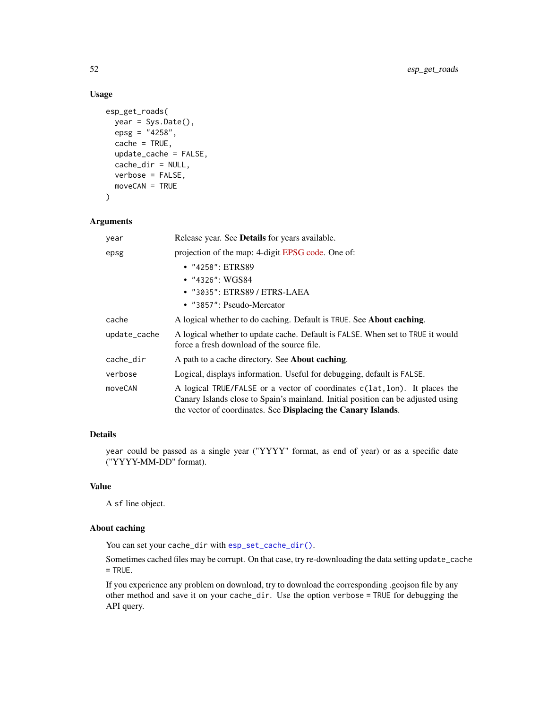# Usage

```
esp_get_roads(
 year = Sys.Date(),
 epsg = "4258",
 cache = TRUE,update_cache = FALSE,
 cache_dir = NULL,
 verbose = FALSE,
 moveCAN = TRUE
)
```
# Arguments

| year         | Release year. See Details for years available.                                                                                                                                                                                  |  |
|--------------|---------------------------------------------------------------------------------------------------------------------------------------------------------------------------------------------------------------------------------|--|
| epsg         | projection of the map: 4-digit EPSG code. One of:                                                                                                                                                                               |  |
|              | • "4258": ETRS89                                                                                                                                                                                                                |  |
|              | • $"4326"$ : WGS84                                                                                                                                                                                                              |  |
|              | • "3035": ETRS89 / ETRS-LAEA                                                                                                                                                                                                    |  |
|              | • "3857": Pseudo-Mercator                                                                                                                                                                                                       |  |
| cache        | A logical whether to do caching. Default is TRUE. See <b>About caching</b> .                                                                                                                                                    |  |
| update_cache | A logical whether to update cache. Default is FALSE. When set to TRUE it would<br>force a fresh download of the source file.                                                                                                    |  |
| cache_dir    | A path to a cache directory. See <b>About caching</b> .                                                                                                                                                                         |  |
| verbose      | Logical, displays information. Useful for debugging, default is FALSE.                                                                                                                                                          |  |
| moveCAN      | A logical TRUE/FALSE or a vector of coordinates c(lat, lon). It places the<br>Canary Islands close to Spain's mainland. Initial position can be adjusted using<br>the vector of coordinates. See Displacing the Canary Islands. |  |

# Details

year could be passed as a single year ("YYYY" format, as end of year) or as a specific date ("YYYY-MM-DD" format).

# Value

A sf line object.

# About caching

You can set your cache\_dir with [esp\\_set\\_cache\\_dir\(\)](#page-55-1).

Sometimes cached files may be corrupt. On that case, try re-downloading the data setting update\_cache = TRUE.

If you experience any problem on download, try to download the corresponding .geojson file by any other method and save it on your cache\_dir. Use the option verbose = TRUE for debugging the API query.

<span id="page-51-0"></span>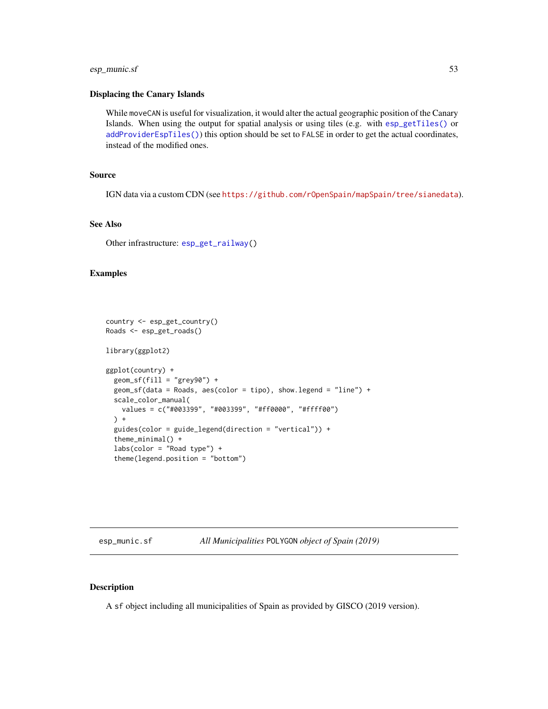# <span id="page-52-0"></span>esp\_munic.sf 53

#### Displacing the Canary Islands

While moveCAN is useful for visualization, it would alter the actual geographic position of the Canary Islands. When using the output for spatial analysis or using tiles (e.g. with [esp\\_getTiles\(\)](#page-9-1) or [addProviderEspTiles\(\)](#page-3-2)) this option should be set to FALSE in order to get the actual coordinates, instead of the modified ones.

#### Source

IGN data via a custom CDN (see <https://github.com/rOpenSpain/mapSpain/tree/sianedata>).

#### See Also

Other infrastructure: [esp\\_get\\_railway\(](#page-46-1))

#### Examples

```
country <- esp_get_country()
Roads <- esp_get_roads()
library(ggplot2)
ggplot(country) +
  geom_sf(fill = "grey90") +geom_sf(data = Roads, aes(color = tipo), show.legend = "line") +
  scale_color_manual(
    values = c("#003399", "#003399", "#ff0000", "#ffff00")
  \left( \begin{array}{cc} + \end{array} \right)guides(color = guide_legend(direction = "vertical")) +
  theme_minimal() +
  labs(color = "Read type") +theme(legend.position = "bottom")
```
<span id="page-52-1"></span>esp\_munic.sf *All Municipalities* POLYGON *object of Spain (2019)*

#### Description

A sf object including all municipalities of Spain as provided by GISCO (2019 version).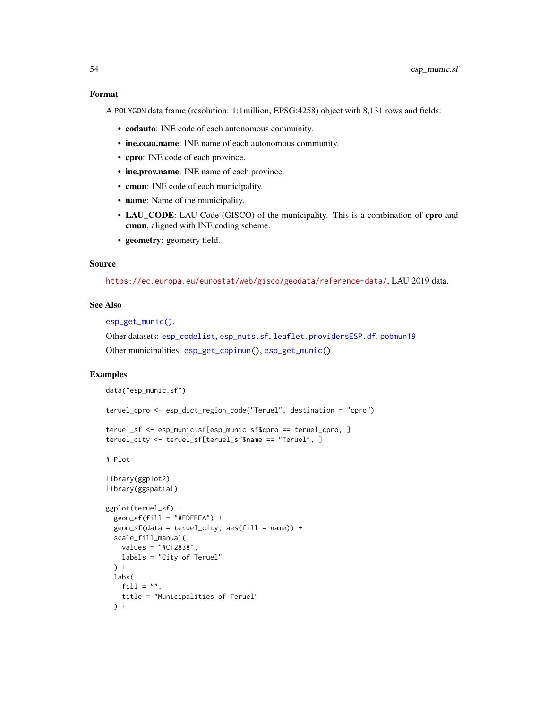<span id="page-53-0"></span>A POLYGON data frame (resolution: 1:1million, EPSG:4258) object with 8,131 rows and fields:

- codauto: INE code of each autonomous community.
- ine.ccaa.name: INE name of each autonomous community.
- cpro: INE code of each province.
- ine.prov.name: INE name of each province.
- cmun: INE code of each municipality.
- name: Name of the municipality.
- LAU\_CODE: LAU Code (GISCO) of the municipality. This is a combination of **cpro** and cmun, aligned with INE coding scheme.
- geometry: geometry field.

#### Source

<https://ec.europa.eu/eurostat/web/gisco/geodata/reference-data/>, LAU 2019 data.

#### See Also

[esp\\_get\\_munic\(\)](#page-37-1).

Other datasets: [esp\\_codelist](#page-6-1), [esp\\_nuts.sf](#page-54-1), [leaflet.providersESP.df](#page-58-1), [pobmun19](#page-61-1) Other municipalities: [esp\\_get\\_capimun\(](#page-14-1)), [esp\\_get\\_munic\(](#page-37-1))

#### Examples

```
data("esp_munic.sf")
```

```
teruel_cpro <- esp_dict_region_code("Teruel", destination = "cpro")
```

```
teruel_sf <- esp_munic.sf[esp_munic.sf$cpro == teruel_cpro, ]
teruel_city <- teruel_sf[teruel_sf$name == "Teruel", ]
```
# Plot

```
library(ggplot2)
library(ggspatial)
ggplot(teruel_sf) +
 geom_sffill = "HFPFBEA") +geom_sf(data = teruel_city, aes(fill = name)) +
 scale_fill_manual(
   values = "#C12838",
   labels = "City of Teruel"
 ) +
 labs(
   fill = ",
   title = "Municipalities of Teruel"
 ) +
```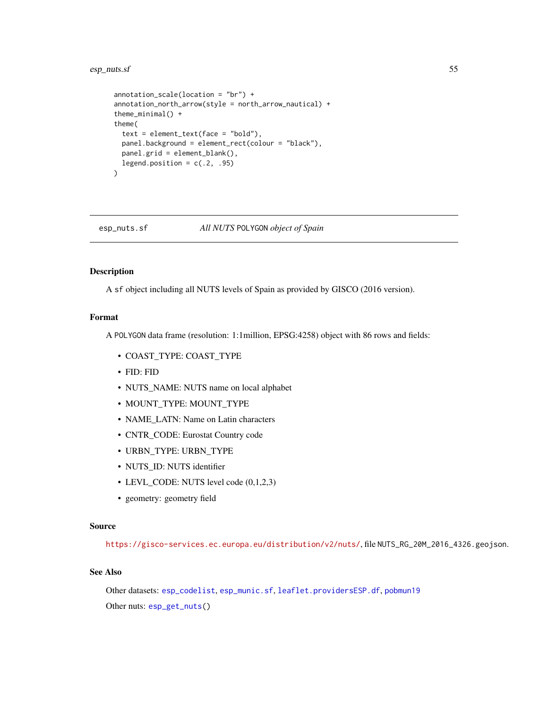# <span id="page-54-0"></span>esp\_nuts.sf 55

```
annotation_scale(location = "br") +
annotation_north_arrow(style = north_arrow_nautical) +
theme_minimal() +
theme(
 text = element_text(face = "bold"),
 panel.background = element_rect(colour = "black"),
 panel.grid = element_blank(),
 legend.position = c(.2, .95)\lambda
```
<span id="page-54-1"></span>esp\_nuts.sf *All NUTS* POLYGON *object of Spain*

# Description

A sf object including all NUTS levels of Spain as provided by GISCO (2016 version).

# Format

A POLYGON data frame (resolution: 1:1million, EPSG:4258) object with 86 rows and fields:

- COAST\_TYPE: COAST\_TYPE
- FID: FID
- NUTS\_NAME: NUTS name on local alphabet
- MOUNT\_TYPE: MOUNT\_TYPE
- NAME\_LATN: Name on Latin characters
- CNTR\_CODE: Eurostat Country code
- URBN\_TYPE: URBN\_TYPE
- NUTS\_ID: NUTS identifier
- LEVL\_CODE: NUTS level code (0,1,2,3)
- geometry: geometry field

# Source

<https://gisco-services.ec.europa.eu/distribution/v2/nuts/>, file NUTS\_RG\_20M\_2016\_4326.geojson.

# See Also

Other datasets: [esp\\_codelist](#page-6-1), [esp\\_munic.sf](#page-52-1), [leaflet.providersESP.df](#page-58-1), [pobmun19](#page-61-1) Other nuts: [esp\\_get\\_nuts\(](#page-40-1))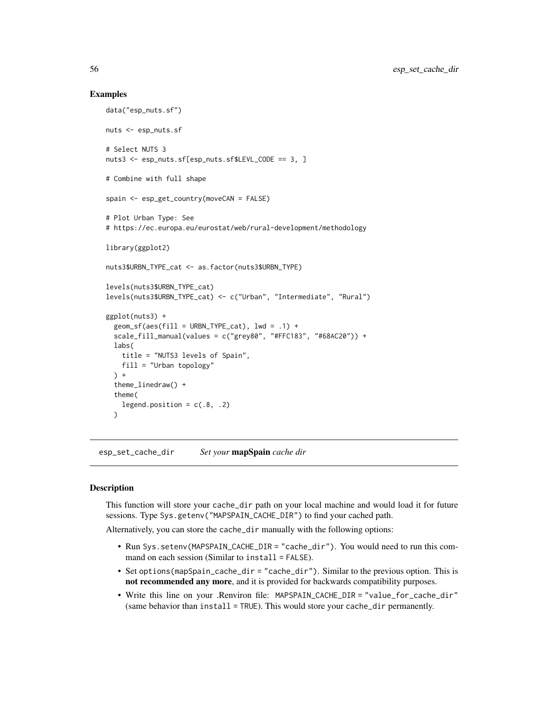#### Examples

```
data("esp_nuts.sf")
nuts <- esp_nuts.sf
# Select NUTS 3
nuts3 <- esp_nuts.sf[esp_nuts.sf$LEVL_CODE == 3, ]
# Combine with full shape
spain <- esp_get_country(moveCAN = FALSE)
# Plot Urban Type: See
# https://ec.europa.eu/eurostat/web/rural-development/methodology
library(ggplot2)
nuts3$URBN_TYPE_cat <- as.factor(nuts3$URBN_TYPE)
levels(nuts3$URBN_TYPE_cat)
levels(nuts3$URBN_TYPE_cat) <- c("Urban", "Intermediate", "Rural")
ggplot(nuts3) +
  geom_s f(aes(fill = URBN_TYPE_cat), lwd = .1) +scale_fill_manual(values = c("grey80", "#FFC183", "#68AC20")) +
  labs(
    title = "NUTS3 levels of Spain",
   fill = "Urban topology"
  ) +theme_linedraw() +
  theme(
   legend.position = c(.8, .2))
```
<span id="page-55-1"></span>esp\_set\_cache\_dir *Set your* mapSpain *cache dir*

#### Description

This function will store your cache\_dir path on your local machine and would load it for future sessions. Type Sys.getenv("MAPSPAIN\_CACHE\_DIR") to find your cached path.

Alternatively, you can store the cache\_dir manually with the following options:

- Run Sys.setenv(MAPSPAIN\_CACHE\_DIR = "cache\_dir"). You would need to run this command on each session (Similar to install = FALSE).
- Set options(mapSpain\_cache\_dir = "cache\_dir"). Similar to the previous option. This is not recommended any more, and it is provided for backwards compatibility purposes.
- Write this line on your .Renviron file: MAPSPAIN\_CACHE\_DIR = "value\_for\_cache\_dir" (same behavior than install = TRUE). This would store your cache\_dir permanently.

<span id="page-55-0"></span>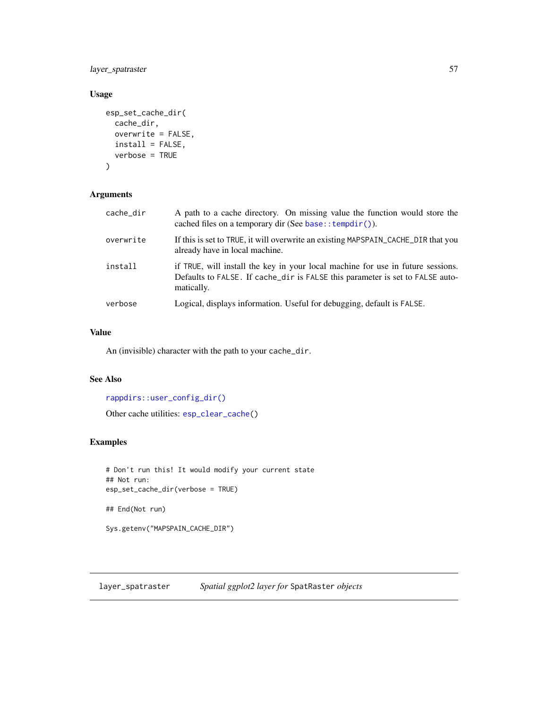<span id="page-56-0"></span>layer\_spatraster 57

# Usage

```
esp_set_cache_dir(
  cache_dir,
  overwrite = FALSE,
  install = FALSE,
  verbose = TRUE
)
```
# Arguments

| cache_dir | A path to a cache directory. On missing value the function would store the<br>cached files on a temporary dir (See base:: $\text{template}()$ ).                               |
|-----------|--------------------------------------------------------------------------------------------------------------------------------------------------------------------------------|
| overwrite | If this is set to TRUE, it will overwrite an existing MAPSPAIN_CACHE_DIR that you<br>already have in local machine.                                                            |
| install   | if TRUE, will install the key in your local machine for use in future sessions.<br>Defaults to FALSE. If cache_dir is FALSE this parameter is set to FALSE auto-<br>matically. |
| verbose   | Logical, displays information. Useful for debugging, default is FALSE.                                                                                                         |

# Value

An (invisible) character with the path to your cache\_dir.

# See Also

```
rappdirs::user_config_dir()
Other cache utilities: esp_clear_cache()
```
# Examples

```
# Don't run this! It would modify your current state
## Not run:
esp_set_cache_dir(verbose = TRUE)
## End(Not run)
Sys.getenv("MAPSPAIN_CACHE_DIR")
```
<span id="page-56-1"></span>layer\_spatraster *Spatial ggplot2 layer for* SpatRaster *objects*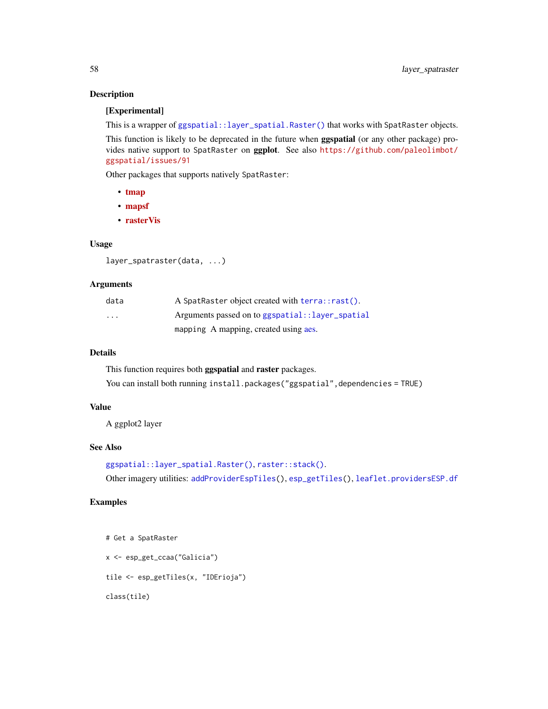# Description

# [Experimental]

This is a wrapper of [ggspatial::layer\\_spatial.Raster\(\)](#page-0-0) that works with SpatRaster objects.

This function is likely to be deprecated in the future when **ggspatial** (or any other package) provides native support to SpatRaster on ggplot. See also [https://github.com/paleolimbot/](https://github.com/paleolimbot/ggspatial/issues/91) [ggspatial/issues/91](https://github.com/paleolimbot/ggspatial/issues/91)

Other packages that supports natively SpatRaster:

- [tmap](https://CRAN.R-project.org/package=tmap)
- [mapsf](https://CRAN.R-project.org/package=mapsf)
- [rasterVis](https://CRAN.R-project.org/package=rasterVis)

#### Usage

```
layer_spatraster(data, ...)
```
#### Arguments

| data                    | A SpatRaster object created with terra::rast(). |
|-------------------------|-------------------------------------------------|
| $\cdot$ $\cdot$ $\cdot$ | Arguments passed on to ggspatial::layer_spatial |
|                         | mapping A mapping, created using aes.           |

#### Details

This function requires both ggspatial and raster packages.

You can install both running install.packages("ggspatial",dependencies = TRUE)

# Value

A ggplot2 layer

# See Also

```
ggspatial::layer_spatial.Raster(), raster::stack().
```
Other imagery utilities: [addProviderEspTiles\(](#page-3-2)), [esp\\_getTiles\(](#page-9-1)), [leaflet.providersESP.df](#page-58-1)

# Examples

```
# Get a SpatRaster
```
x <- esp\_get\_ccaa("Galicia")

tile <- esp\_getTiles(x, "IDErioja")

class(tile)

<span id="page-57-0"></span>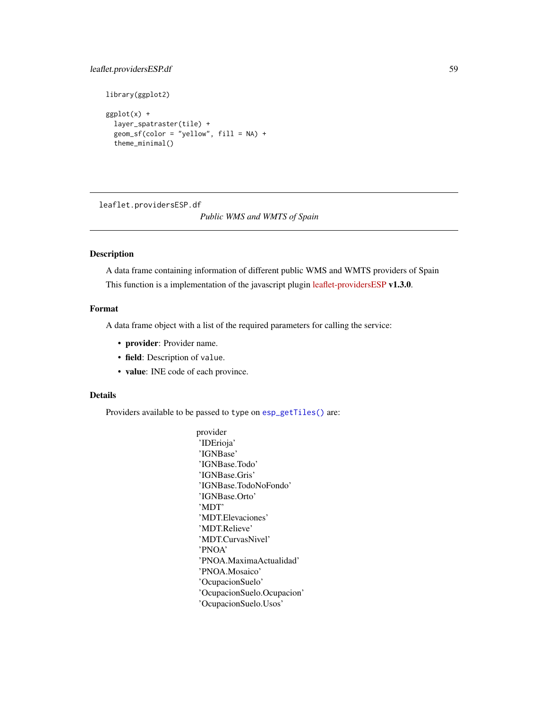# <span id="page-58-0"></span>leaflet.providersESP.df 59

```
library(ggplot2)
```

```
ggplot(x) +
 layer_spatraster(tile) +
 geom_s f (color = "yellow", fill = NA) +theme_minimal()
```
<span id="page-58-1"></span>leaflet.providersESP.df

# *Public WMS and WMTS of Spain*

# Description

A data frame containing information of different public WMS and WMTS providers of Spain This function is a implementation of the javascript plugin [leaflet-providersESP](https://dieghernan.github.io/leaflet-providersESP/) v1.3.0.

# Format

A data frame object with a list of the required parameters for calling the service:

- provider: Provider name.
- field: Description of value.
- value: INE code of each province.

# Details

Providers available to be passed to type on [esp\\_getTiles\(\)](#page-9-1) are:

provider 'IDErioja' 'IGNBase' 'IGNBase.Todo' 'IGNBase.Gris' 'IGNBase.TodoNoFondo' 'IGNBase.Orto' 'MDT' 'MDT.Elevaciones' 'MDT.Relieve' 'MDT.CurvasNivel' 'PNOA' 'PNOA.MaximaActualidad' 'PNOA.Mosaico' 'OcupacionSuelo' 'OcupacionSuelo.Ocupacion' 'OcupacionSuelo.Usos'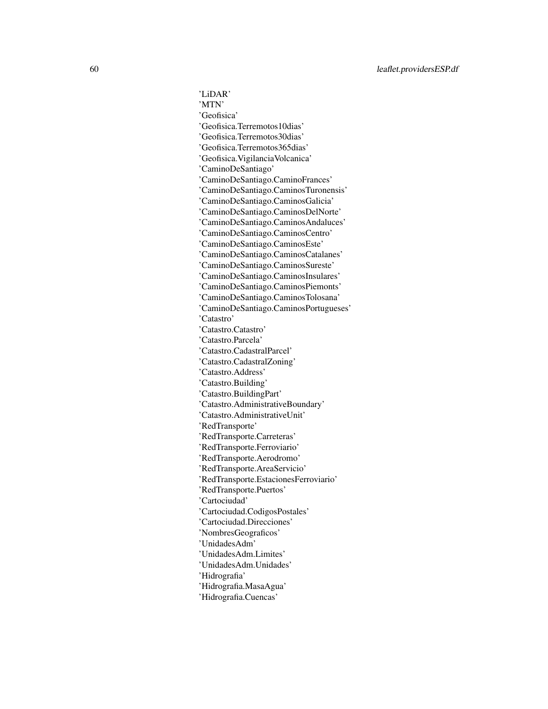'LiDAR' 'MTN' 'Geofisica' 'Geofisica.Terremotos10dias' 'Geofisica.Terremotos30dias' 'Geofisica.Terremotos365dias' 'Geofisica.VigilanciaVolcanica' 'CaminoDeSantiago' 'CaminoDeSantiago.CaminoFrances' 'CaminoDeSantiago.CaminosTuronensis' 'CaminoDeSantiago.CaminosGalicia' 'CaminoDeSantiago.CaminosDelNorte' 'CaminoDeSantiago.CaminosAndaluces' 'CaminoDeSantiago.CaminosCentro' 'CaminoDeSantiago.CaminosEste' 'CaminoDeSantiago.CaminosCatalanes' 'CaminoDeSantiago.CaminosSureste' 'CaminoDeSantiago.CaminosInsulares' 'CaminoDeSantiago.CaminosPiemonts' 'CaminoDeSantiago.CaminosTolosana' 'CaminoDeSantiago.CaminosPortugueses' 'Catastro' 'Catastro.Catastro' 'Catastro.Parcela' 'Catastro.CadastralParcel' 'Catastro.CadastralZoning' 'Catastro.Address' 'Catastro.Building' 'Catastro.BuildingPart' 'Catastro.AdministrativeBoundary' 'Catastro.AdministrativeUnit' 'RedTransporte' 'RedTransporte.Carreteras' 'RedTransporte.Ferroviario' 'RedTransporte.Aerodromo' 'RedTransporte.AreaServicio' 'RedTransporte.EstacionesFerroviario' 'RedTransporte.Puertos' 'Cartociudad' 'Cartociudad.CodigosPostales' 'Cartociudad.Direcciones' 'NombresGeograficos' 'UnidadesAdm' 'UnidadesAdm.Limites' 'UnidadesAdm.Unidades' 'Hidrografia' 'Hidrografia.MasaAgua' 'Hidrografia.Cuencas'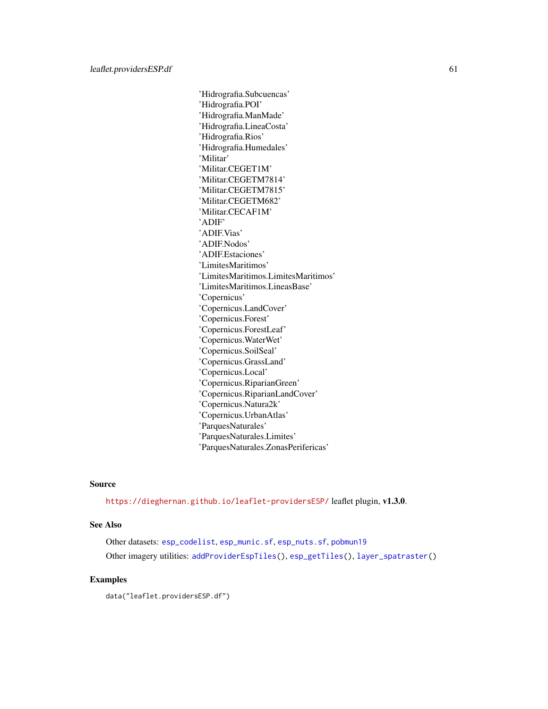<span id="page-60-0"></span>'Hidrografia.Subcuencas' 'Hidrografia.POI' 'Hidrografia.ManMade' 'Hidrografia.LineaCosta' 'Hidrografia.Rios' 'Hidrografia.Humedales' 'Militar' 'Militar.CEGET1M' 'Militar.CEGETM7814' 'Militar.CEGETM7815' 'Militar.CEGETM682' 'Militar.CECAF1M' 'ADIF' 'ADIF.Vias' 'ADIF.Nodos' 'ADIF.Estaciones' 'LimitesMaritimos' 'LimitesMaritimos.LimitesMaritimos' 'LimitesMaritimos.LineasBase' 'Copernicus' 'Copernicus.LandCover' 'Copernicus.Forest' 'Copernicus.ForestLeaf' 'Copernicus.WaterWet' 'Copernicus.SoilSeal' 'Copernicus.GrassLand' 'Copernicus.Local' 'Copernicus.RiparianGreen' 'Copernicus.RiparianLandCover' 'Copernicus.Natura2k' 'Copernicus.UrbanAtlas' 'ParquesNaturales' 'ParquesNaturales.Limites' 'ParquesNaturales.ZonasPerifericas'

#### Source

<https://dieghernan.github.io/leaflet-providersESP/> leaflet plugin, v1.3.0.

#### See Also

Other datasets: [esp\\_codelist](#page-6-1), [esp\\_munic.sf](#page-52-1), [esp\\_nuts.sf](#page-54-1), [pobmun19](#page-61-1) Other imagery utilities: [addProviderEspTiles\(](#page-3-2)), [esp\\_getTiles\(](#page-9-1)), [layer\\_spatraster\(](#page-56-1))

#### Examples

data("leaflet.providersESP.df")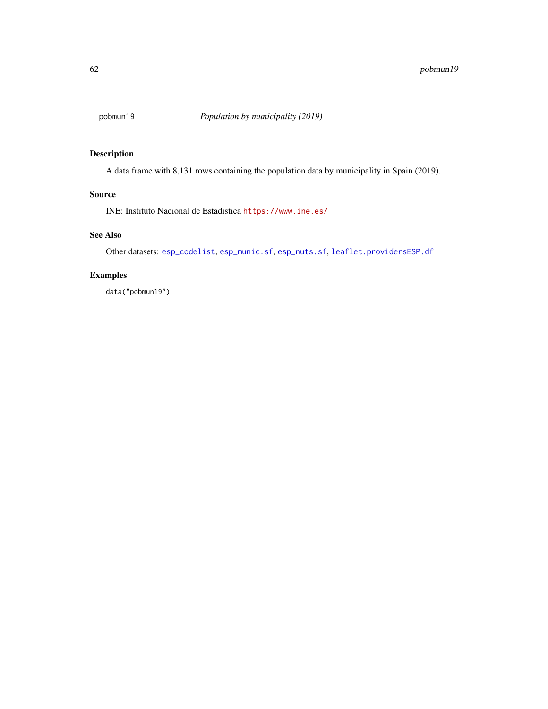<span id="page-61-1"></span><span id="page-61-0"></span>

# Description

A data frame with 8,131 rows containing the population data by municipality in Spain (2019).

# Source

INE: Instituto Nacional de Estadistica <https://www.ine.es/>

# See Also

Other datasets: [esp\\_codelist](#page-6-1), [esp\\_munic.sf](#page-52-1), [esp\\_nuts.sf](#page-54-1), [leaflet.providersESP.df](#page-58-1)

# Examples

data("pobmun19")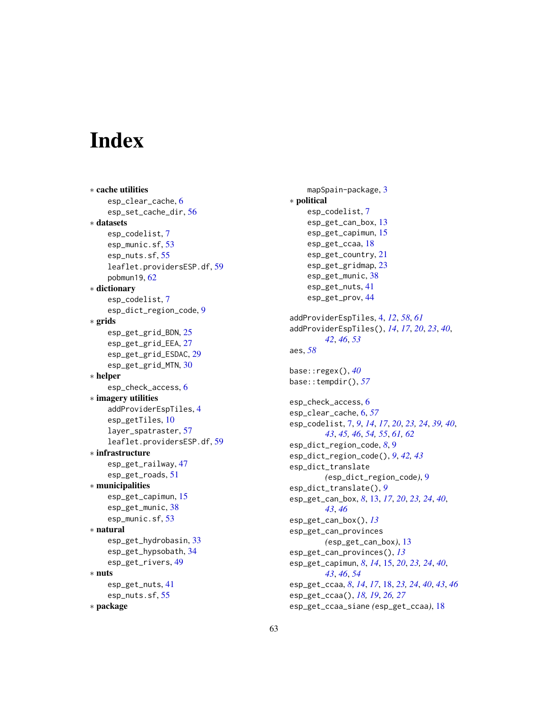# <span id="page-62-0"></span>**Index**

∗ cache utilities esp\_clear\_cache, [6](#page-5-0) esp\_set\_cache\_dir, [56](#page-55-0) ∗ datasets esp\_codelist, [7](#page-6-0) esp\_munic.sf, [53](#page-52-0) esp\_nuts.sf, [55](#page-54-0) leaflet.providersESP.df, [59](#page-58-0) pobmun19, [62](#page-61-0) ∗ dictionary esp\_codelist, [7](#page-6-0) esp\_dict\_region\_code, [9](#page-8-0) ∗ grids esp\_get\_grid\_BDN, [25](#page-24-0) esp\_get\_grid\_EEA, [27](#page-26-0) esp\_get\_grid\_ESDAC, [29](#page-28-0) esp\_get\_grid\_MTN, [30](#page-29-0) ∗ helper esp\_check\_access, [6](#page-5-0) ∗ imagery utilities addProviderEspTiles, [4](#page-3-0) esp\_getTiles, [10](#page-9-0) layer\_spatraster, [57](#page-56-0) leaflet.providersESP.df, [59](#page-58-0) ∗ infrastructure esp\_get\_railway, [47](#page-46-0) esp\_get\_roads, [51](#page-50-0) ∗ municipalities esp\_get\_capimun, [15](#page-14-0) esp\_get\_munic, [38](#page-37-0) esp\_munic.sf, [53](#page-52-0) ∗ natural esp\_get\_hydrobasin, [33](#page-32-0) esp\_get\_hypsobath, [34](#page-33-0) esp\_get\_rivers, [49](#page-48-0) ∗ nuts esp\_get\_nuts, [41](#page-40-0) esp\_nuts.sf, [55](#page-54-0) ∗ package

mapSpain-package, [3](#page-2-0) ∗ political esp\_codelist, [7](#page-6-0) esp\_get\_can\_box, [13](#page-12-0) esp\_get\_capimun, [15](#page-14-0) esp\_get\_ccaa, [18](#page-17-0) esp\_get\_country, [21](#page-20-0) esp\_get\_gridmap, [23](#page-22-0) esp\_get\_munic, [38](#page-37-0) esp\_get\_nuts, [41](#page-40-0) esp\_get\_prov, [44](#page-43-0) addProviderEspTiles, [4,](#page-3-0) *[12](#page-11-0)*, *[58](#page-57-0)*, *[61](#page-60-0)* addProviderEspTiles(), *[14](#page-13-0)*, *[17](#page-16-0)*, *[20](#page-19-0)*, *[23](#page-22-0)*, *[40](#page-39-0)*, *[42](#page-41-0)*, *[46](#page-45-0)*, *[53](#page-52-0)* aes, *[58](#page-57-0)* base::regex(), *[40](#page-39-0)* base::tempdir(), *[57](#page-56-0)* esp\_check\_access, [6](#page-5-0) esp\_clear\_cache, [6,](#page-5-0) *[57](#page-56-0)* esp\_codelist, [7,](#page-6-0) *[9](#page-8-0)*, *[14](#page-13-0)*, *[17](#page-16-0)*, *[20](#page-19-0)*, *[23,](#page-22-0) [24](#page-23-0)*, *[39,](#page-38-0) [40](#page-39-0)*, *[43](#page-42-0)*, *[45,](#page-44-0) [46](#page-45-0)*, *[54,](#page-53-0) [55](#page-54-0)*, *[61,](#page-60-0) [62](#page-61-0)* esp\_dict\_region\_code, *[8](#page-7-0)*, [9](#page-8-0) esp\_dict\_region\_code(), *[9](#page-8-0)*, *[42,](#page-41-0) [43](#page-42-0)* esp\_dict\_translate *(*esp\_dict\_region\_code*)*, [9](#page-8-0) esp\_dict\_translate(), *[9](#page-8-0)* esp\_get\_can\_box, *[8](#page-7-0)*, [13,](#page-12-0) *[17](#page-16-0)*, *[20](#page-19-0)*, *[23,](#page-22-0) [24](#page-23-0)*, *[40](#page-39-0)*, *[43](#page-42-0)*, *[46](#page-45-0)* esp\_get\_can\_box(), *[13](#page-12-0)* esp\_get\_can\_provinces *(*esp\_get\_can\_box*)*, [13](#page-12-0) esp\_get\_can\_provinces(), *[13](#page-12-0)* esp\_get\_capimun, *[8](#page-7-0)*, *[14](#page-13-0)*, [15,](#page-14-0) *[20](#page-19-0)*, *[23,](#page-22-0) [24](#page-23-0)*, *[40](#page-39-0)*, *[43](#page-42-0)*, *[46](#page-45-0)*, *[54](#page-53-0)* esp\_get\_ccaa, *[8](#page-7-0)*, *[14](#page-13-0)*, *[17](#page-16-0)*, [18,](#page-17-0) *[23,](#page-22-0) [24](#page-23-0)*, *[40](#page-39-0)*, *[43](#page-42-0)*, *[46](#page-45-0)* esp\_get\_ccaa(), *[18,](#page-17-0) [19](#page-18-0)*, *[26,](#page-25-0) [27](#page-26-0)* esp\_get\_ccaa\_siane *(*esp\_get\_ccaa*)*, [18](#page-17-0)